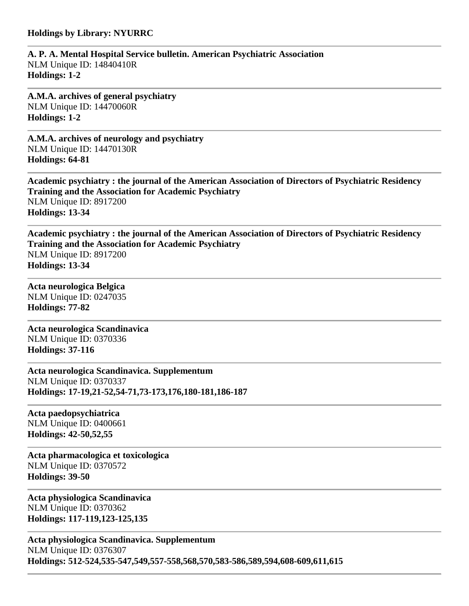#### **Holdings by Library: NYURRC**

**A. P. A. Mental Hospital Service bulletin. American Psychiatric Association** NLM Unique ID: 14840410R **Holdings: 1-2** 

**A.M.A. archives of general psychiatry** NLM Unique ID: 14470060R **Holdings: 1-2** 

**A.M.A. archives of neurology and psychiatry** NLM Unique ID: 14470130R **Holdings: 64-81** 

**Academic psychiatry : the journal of the American Association of Directors of Psychiatric Residency Training and the Association for Academic Psychiatry** NLM Unique ID: 8917200 **Holdings: 13-34** 

**Academic psychiatry : the journal of the American Association of Directors of Psychiatric Residency Training and the Association for Academic Psychiatry** NLM Unique ID: 8917200 **Holdings: 13-34** 

**Acta neurologica Belgica** NLM Unique ID: 0247035 **Holdings: 77-82** 

**Acta neurologica Scandinavica** NLM Unique ID: 0370336 **Holdings: 37-116** 

**Acta neurologica Scandinavica. Supplementum** NLM Unique ID: 0370337 **Holdings: 17-19,21-52,54-71,73-173,176,180-181,186-187** 

**Acta paedopsychiatrica** NLM Unique ID: 0400661 **Holdings: 42-50,52,55** 

**Acta pharmacologica et toxicologica** NLM Unique ID: 0370572 **Holdings: 39-50** 

**Acta physiologica Scandinavica** NLM Unique ID: 0370362 **Holdings: 117-119,123-125,135** 

**Acta physiologica Scandinavica. Supplementum** NLM Unique ID: 0376307 **Holdings: 512-524,535-547,549,557-558,568,570,583-586,589,594,608-609,611,615**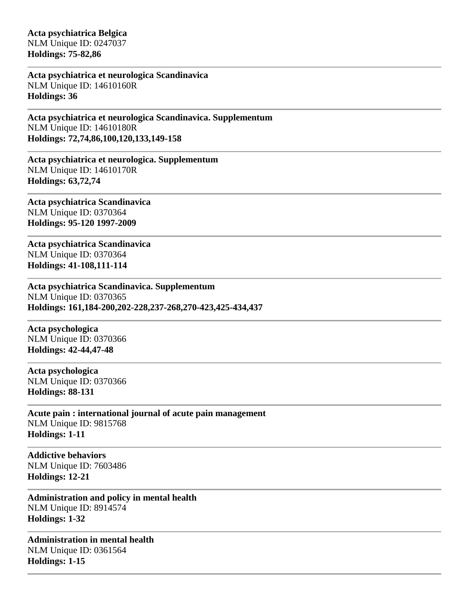**Acta psychiatrica Belgica** NLM Unique ID: 0247037 **Holdings: 75-82,86** 

**Acta psychiatrica et neurologica Scandinavica** NLM Unique ID: 14610160R **Holdings: 36** 

**Acta psychiatrica et neurologica Scandinavica. Supplementum** NLM Unique ID: 14610180R **Holdings: 72,74,86,100,120,133,149-158** 

**Acta psychiatrica et neurologica. Supplementum** NLM Unique ID: 14610170R **Holdings: 63,72,74** 

**Acta psychiatrica Scandinavica** NLM Unique ID: 0370364 **Holdings: 95-120 1997-2009**

**Acta psychiatrica Scandinavica** NLM Unique ID: 0370364 **Holdings: 41-108,111-114** 

**Acta psychiatrica Scandinavica. Supplementum** NLM Unique ID: 0370365 **Holdings: 161,184-200,202-228,237-268,270-423,425-434,437** 

**Acta psychologica** NLM Unique ID: 0370366 **Holdings: 42-44,47-48** 

**Acta psychologica** NLM Unique ID: 0370366 **Holdings: 88-131** 

**Acute pain : international journal of acute pain management** NLM Unique ID: 9815768 **Holdings: 1-11** 

**Addictive behaviors** NLM Unique ID: 7603486 **Holdings: 12-21** 

**Administration and policy in mental health** NLM Unique ID: 8914574 **Holdings: 1-32** 

**Administration in mental health** NLM Unique ID: 0361564 **Holdings: 1-15**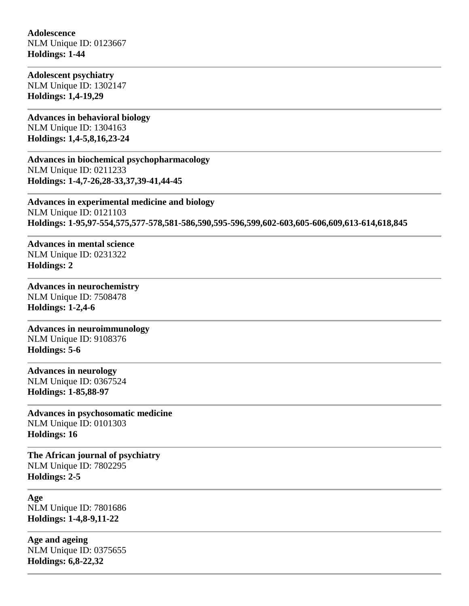### **Adolescence** NLM Unique ID: 0123667 **Holdings: 1-44**

**Adolescent psychiatry** NLM Unique ID: 1302147 **Holdings: 1,4-19,29** 

**Advances in behavioral biology** NLM Unique ID: 1304163 **Holdings: 1,4-5,8,16,23-24** 

**Advances in biochemical psychopharmacology** NLM Unique ID: 0211233 **Holdings: 1-4,7-26,28-33,37,39-41,44-45** 

**Advances in experimental medicine and biology** NLM Unique ID: 0121103 **Holdings: 1-95,97-554,575,577-578,581-586,590,595-596,599,602-603,605-606,609,613-614,618,845** 

**Advances in mental science** NLM Unique ID: 0231322 **Holdings: 2** 

#### **Advances in neurochemistry** NLM Unique ID: 7508478

**Holdings: 1-2,4-6** 

**Advances in neuroimmunology** NLM Unique ID: 9108376 **Holdings: 5-6** 

**Advances in neurology** NLM Unique ID: 0367524 **Holdings: 1-85,88-97** 

**Advances in psychosomatic medicine** NLM Unique ID: 0101303 **Holdings: 16** 

**The African journal of psychiatry** NLM Unique ID: 7802295 **Holdings: 2-5** 

**Age** NLM Unique ID: 7801686 **Holdings: 1-4,8-9,11-22** 

**Age and ageing** NLM Unique ID: 0375655 **Holdings: 6,8-22,32**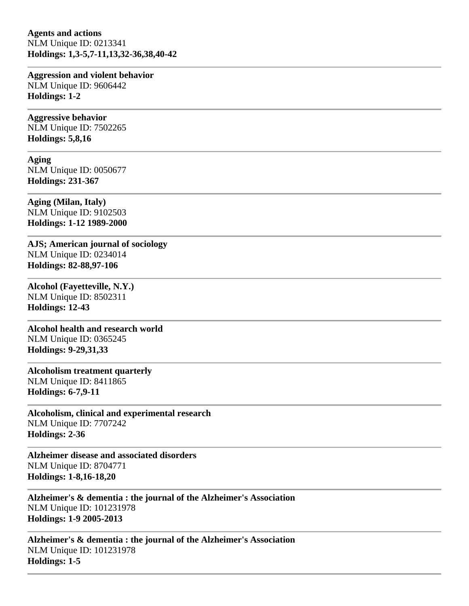**Agents and actions** NLM Unique ID: 0213341 **Holdings: 1,3-5,7-11,13,32-36,38,40-42** 

**Aggression and violent behavior** NLM Unique ID: 9606442 **Holdings: 1-2** 

**Aggressive behavior** NLM Unique ID: 7502265

**Holdings: 5,8,16** 

**Aging**

NLM Unique ID: 0050677 **Holdings: 231-367** 

**Aging (Milan, Italy)** NLM Unique ID: 9102503 **Holdings: 1-12 1989-2000**

**AJS; American journal of sociology** NLM Unique ID: 0234014 **Holdings: 82-88,97-106** 

**Alcohol (Fayetteville, N.Y.)** NLM Unique ID: 8502311 **Holdings: 12-43** 

**Alcohol health and research world** NLM Unique ID: 0365245 **Holdings: 9-29,31,33** 

**Alcoholism treatment quarterly** NLM Unique ID: 8411865 **Holdings: 6-7,9-11** 

**Alcoholism, clinical and experimental research** NLM Unique ID: 7707242 **Holdings: 2-36** 

**Alzheimer disease and associated disorders** NLM Unique ID: 8704771 **Holdings: 1-8,16-18,20** 

**Alzheimer's & dementia : the journal of the Alzheimer's Association** NLM Unique ID: 101231978 **Holdings: 1-9 2005-2013**

**Alzheimer's & dementia : the journal of the Alzheimer's Association** NLM Unique ID: 101231978 **Holdings: 1-5**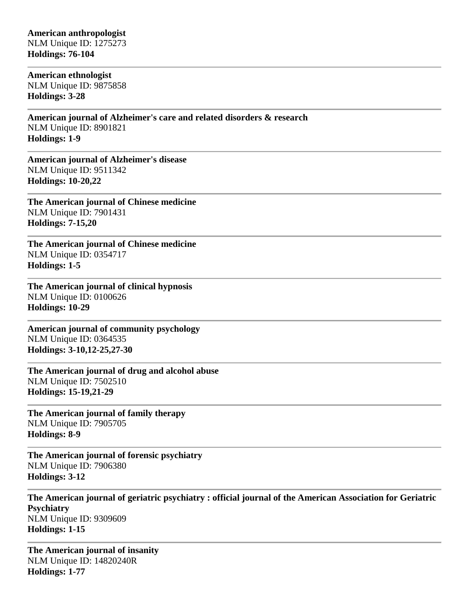## **American anthropologist** NLM Unique ID: 1275273

**Holdings: 76-104** 

**American ethnologist** NLM Unique ID: 9875858 **Holdings: 3-28** 

**American journal of Alzheimer's care and related disorders & research** NLM Unique ID: 8901821 **Holdings: 1-9** 

**American journal of Alzheimer's disease** NLM Unique ID: 9511342 **Holdings: 10-20,22** 

**The American journal of Chinese medicine** NLM Unique ID: 7901431 **Holdings: 7-15,20** 

**The American journal of Chinese medicine** NLM Unique ID: 0354717 **Holdings: 1-5** 

**The American journal of clinical hypnosis** NLM Unique ID: 0100626 **Holdings: 10-29** 

**American journal of community psychology** NLM Unique ID: 0364535 **Holdings: 3-10,12-25,27-30** 

**The American journal of drug and alcohol abuse** NLM Unique ID: 7502510 **Holdings: 15-19,21-29** 

**The American journal of family therapy** NLM Unique ID: 7905705 **Holdings: 8-9** 

**The American journal of forensic psychiatry** NLM Unique ID: 7906380 **Holdings: 3-12** 

**The American journal of geriatric psychiatry : official journal of the American Association for Geriatric Psychiatry** NLM Unique ID: 9309609 **Holdings: 1-15** 

**The American journal of insanity** NLM Unique ID: 14820240R **Holdings: 1-77**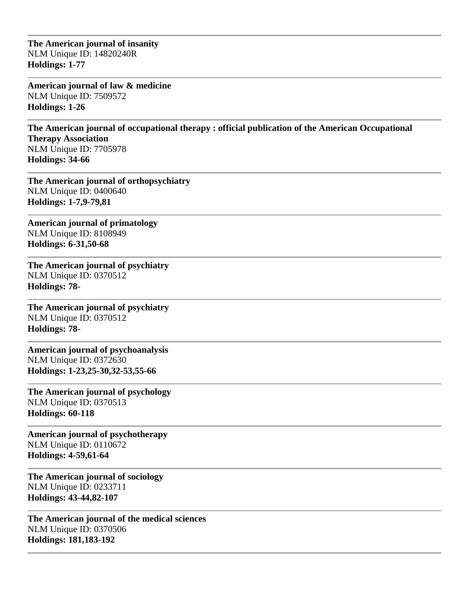**The American journal of insanity** NLM Unique ID: 14820240R **Holdings: 1-77** 

**American journal of law & medicine** NLM Unique ID: 7509572 **Holdings: 1-26** 

**The American journal of occupational therapy : official publication of the American Occupational Therapy Association** NLM Unique ID: 7705978 **Holdings: 34-66** 

**The American journal of orthopsychiatry** NLM Unique ID: 0400640 **Holdings: 1-7,9-79,81** 

**American journal of primatology** NLM Unique ID: 8108949 **Holdings: 6-31,50-68** 

**The American journal of psychiatry** NLM Unique ID: 0370512 **Holdings: 78-**

**The American journal of psychiatry** NLM Unique ID: 0370512 **Holdings: 78-**

**American journal of psychoanalysis** NLM Unique ID: 0372630 **Holdings: 1-23,25-30,32-53,55-66** 

**The American journal of psychology** NLM Unique ID: 0370513 **Holdings: 60-118** 

**American journal of psychotherapy** NLM Unique ID: 0110672 **Holdings: 4-59,61-64** 

**The American journal of sociology** NLM Unique ID: 0233711 **Holdings: 43-44,82-107** 

**The American journal of the medical sciences** NLM Unique ID: 0370506 **Holdings: 181,183-192**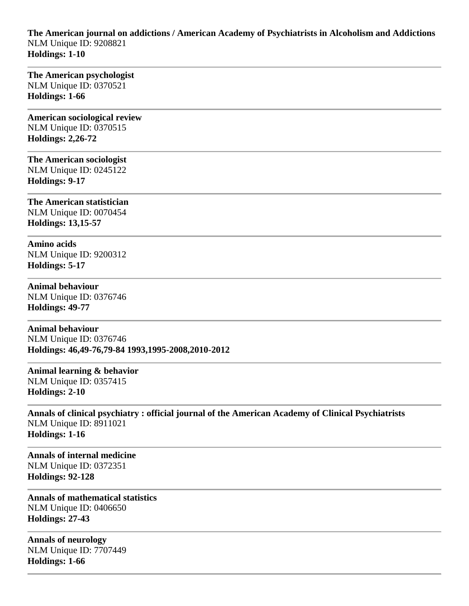**The American journal on addictions / American Academy of Psychiatrists in Alcoholism and Addictions** NLM Unique ID: 9208821 **Holdings: 1-10** 

**The American psychologist** NLM Unique ID: 0370521 **Holdings: 1-66** 

**American sociological review** NLM Unique ID: 0370515 **Holdings: 2,26-72** 

**The American sociologist** NLM Unique ID: 0245122 **Holdings: 9-17** 

**The American statistician** NLM Unique ID: 0070454 **Holdings: 13,15-57** 

**Amino acids** NLM Unique ID: 9200312 **Holdings: 5-17** 

**Animal behaviour** NLM Unique ID: 0376746 **Holdings: 49-77** 

**Animal behaviour** NLM Unique ID: 0376746 **Holdings: 46,49-76,79-84 1993,1995-2008,2010-2012**

**Animal learning & behavior** NLM Unique ID: 0357415 **Holdings: 2-10** 

**Annals of clinical psychiatry : official journal of the American Academy of Clinical Psychiatrists** NLM Unique ID: 8911021 **Holdings: 1-16** 

**Annals of internal medicine** NLM Unique ID: 0372351 **Holdings: 92-128** 

**Annals of mathematical statistics** NLM Unique ID: 0406650 **Holdings: 27-43** 

**Annals of neurology** NLM Unique ID: 7707449 **Holdings: 1-66**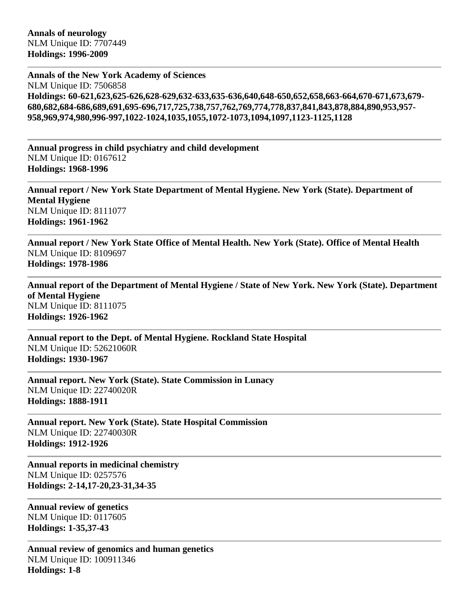**Annals of the New York Academy of Sciences** NLM Unique ID: 7506858 **Holdings: 60-621,623,625-626,628-629,632-633,635-636,640,648-650,652,658,663-664,670-671,673,679- 680,682,684-686,689,691,695-696,717,725,738,757,762,769,774,778,837,841,843,878,884,890,953,957- 958,969,974,980,996-997,1022-1024,1035,1055,1072-1073,1094,1097,1123-1125,1128**

**Annual progress in child psychiatry and child development** NLM Unique ID: 0167612 **Holdings: 1968-1996**

**Annual report / New York State Department of Mental Hygiene. New York (State). Department of Mental Hygiene** NLM Unique ID: 8111077 **Holdings: 1961-1962**

**Annual report / New York State Office of Mental Health. New York (State). Office of Mental Health** NLM Unique ID: 8109697 **Holdings: 1978-1986**

**Annual report of the Department of Mental Hygiene / State of New York. New York (State). Department of Mental Hygiene** NLM Unique ID: 8111075 **Holdings: 1926-1962**

**Annual report to the Dept. of Mental Hygiene. Rockland State Hospital** NLM Unique ID: 52621060R **Holdings: 1930-1967**

**Annual report. New York (State). State Commission in Lunacy** NLM Unique ID: 22740020R **Holdings: 1888-1911**

**Annual report. New York (State). State Hospital Commission** NLM Unique ID: 22740030R **Holdings: 1912-1926**

**Annual reports in medicinal chemistry** NLM Unique ID: 0257576 **Holdings: 2-14,17-20,23-31,34-35** 

**Annual review of genetics** NLM Unique ID: 0117605 **Holdings: 1-35,37-43** 

**Annual review of genomics and human genetics** NLM Unique ID: 100911346 **Holdings: 1-8**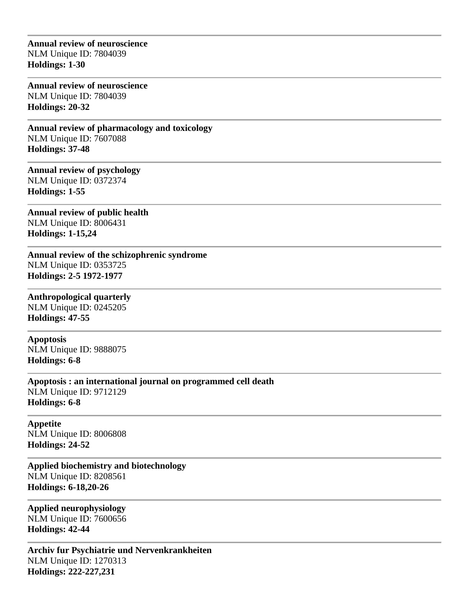### **Annual review of neuroscience** NLM Unique ID: 7804039 **Holdings: 1-30**

**Annual review of neuroscience** NLM Unique ID: 7804039 **Holdings: 20-32** 

**Annual review of pharmacology and toxicology** NLM Unique ID: 7607088 **Holdings: 37-48** 

**Annual review of psychology** NLM Unique ID: 0372374 **Holdings: 1-55** 

**Annual review of public health** NLM Unique ID: 8006431 **Holdings: 1-15,24** 

**Annual review of the schizophrenic syndrome** NLM Unique ID: 0353725 **Holdings: 2-5 1972-1977**

**Anthropological quarterly** NLM Unique ID: 0245205 **Holdings: 47-55** 

**Apoptosis** NLM Unique ID: 9888075 **Holdings: 6-8** 

**Apoptosis : an international journal on programmed cell death** NLM Unique ID: 9712129 **Holdings: 6-8** 

**Appetite** NLM Unique ID: 8006808 **Holdings: 24-52** 

**Applied biochemistry and biotechnology** NLM Unique ID: 8208561 **Holdings: 6-18,20-26** 

**Applied neurophysiology** NLM Unique ID: 7600656 **Holdings: 42-44** 

**Archiv fur Psychiatrie und Nervenkrankheiten** NLM Unique ID: 1270313 **Holdings: 222-227,231**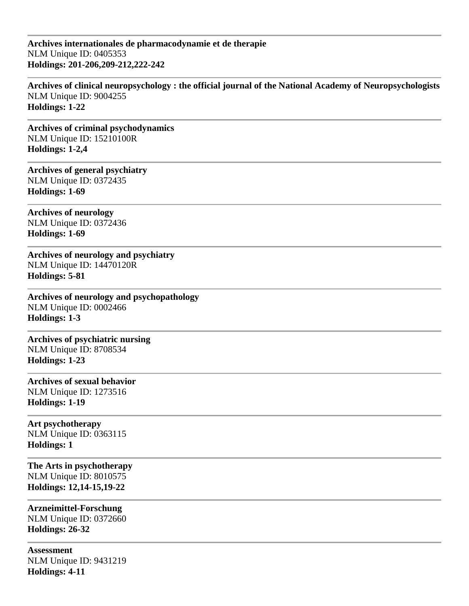**Archives internationales de pharmacodynamie et de therapie** NLM Unique ID: 0405353 **Holdings: 201-206,209-212,222-242** 

**Archives of clinical neuropsychology : the official journal of the National Academy of Neuropsychologists** NLM Unique ID: 9004255 **Holdings: 1-22** 

**Archives of criminal psychodynamics** NLM Unique ID: 15210100R **Holdings: 1-2,4** 

**Archives of general psychiatry** NLM Unique ID: 0372435 **Holdings: 1-69** 

**Archives of neurology** NLM Unique ID: 0372436 **Holdings: 1-69** 

**Archives of neurology and psychiatry** NLM Unique ID: 14470120R **Holdings: 5-81** 

**Archives of neurology and psychopathology** NLM Unique ID: 0002466 **Holdings: 1-3** 

**Archives of psychiatric nursing** NLM Unique ID: 8708534 **Holdings: 1-23** 

**Archives of sexual behavior** NLM Unique ID: 1273516 **Holdings: 1-19** 

**Art psychotherapy** NLM Unique ID: 0363115 **Holdings: 1** 

**The Arts in psychotherapy** NLM Unique ID: 8010575 **Holdings: 12,14-15,19-22** 

**Arzneimittel-Forschung** NLM Unique ID: 0372660 **Holdings: 26-32** 

**Assessment** NLM Unique ID: 9431219 **Holdings: 4-11**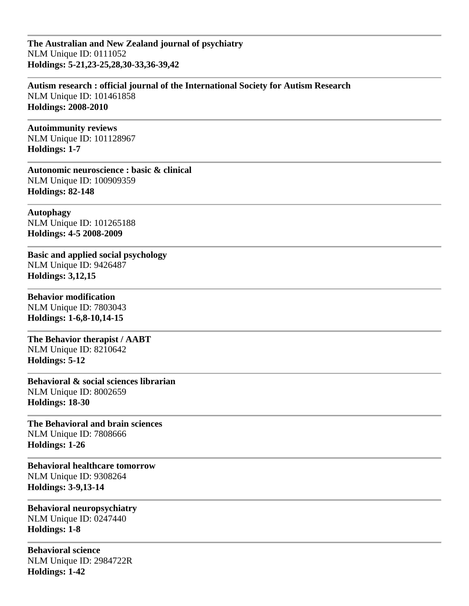**The Australian and New Zealand journal of psychiatry** NLM Unique ID: 0111052 **Holdings: 5-21,23-25,28,30-33,36-39,42** 

**Autism research : official journal of the International Society for Autism Research** NLM Unique ID: 101461858 **Holdings: 2008-2010**

**Autoimmunity reviews** NLM Unique ID: 101128967 **Holdings: 1-7** 

**Autonomic neuroscience : basic & clinical** NLM Unique ID: 100909359 **Holdings: 82-148** 

**Autophagy** NLM Unique ID: 101265188 **Holdings: 4-5 2008-2009**

**Basic and applied social psychology** NLM Unique ID: 9426487 **Holdings: 3,12,15** 

**Behavior modification** NLM Unique ID: 7803043 **Holdings: 1-6,8-10,14-15** 

**The Behavior therapist / AABT** NLM Unique ID: 8210642 **Holdings: 5-12** 

**Behavioral & social sciences librarian** NLM Unique ID: 8002659 **Holdings: 18-30** 

**The Behavioral and brain sciences** NLM Unique ID: 7808666 **Holdings: 1-26** 

**Behavioral healthcare tomorrow** NLM Unique ID: 9308264 **Holdings: 3-9,13-14** 

**Behavioral neuropsychiatry** NLM Unique ID: 0247440 **Holdings: 1-8** 

**Behavioral science** NLM Unique ID: 2984722R **Holdings: 1-42**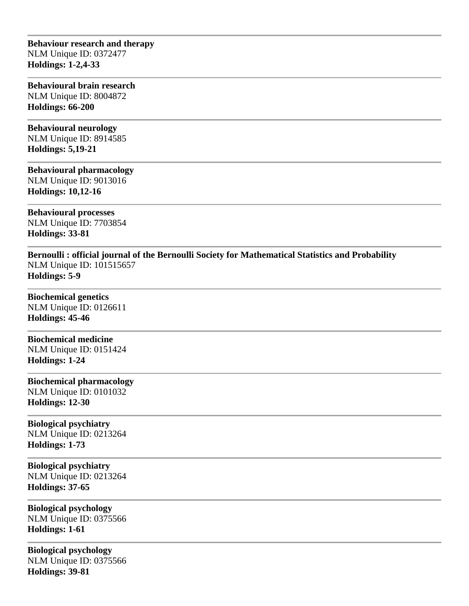### **Behaviour research and therapy** NLM Unique ID: 0372477 **Holdings: 1-2,4-33**

### **Behavioural brain research** NLM Unique ID: 8004872 **Holdings: 66-200**

# **Behavioural neurology**

NLM Unique ID: 8914585 **Holdings: 5,19-21** 

# **Behavioural pharmacology**

NLM Unique ID: 9013016 **Holdings: 10,12-16** 

**Behavioural processes** NLM Unique ID: 7703854 **Holdings: 33-81** 

**Bernoulli : official journal of the Bernoulli Society for Mathematical Statistics and Probability** NLM Unique ID: 101515657 **Holdings: 5-9** 

**Biochemical genetics** NLM Unique ID: 0126611 **Holdings: 45-46** 

# **Biochemical medicine**

NLM Unique ID: 0151424 **Holdings: 1-24** 

# **Biochemical pharmacology**

NLM Unique ID: 0101032 **Holdings: 12-30** 

# **Biological psychiatry**

NLM Unique ID: 0213264 **Holdings: 1-73** 

**Biological psychiatry** NLM Unique ID: 0213264 **Holdings: 37-65** 

### **Biological psychology** NLM Unique ID: 0375566 **Holdings: 1-61**

**Biological psychology** NLM Unique ID: 0375566 **Holdings: 39-81**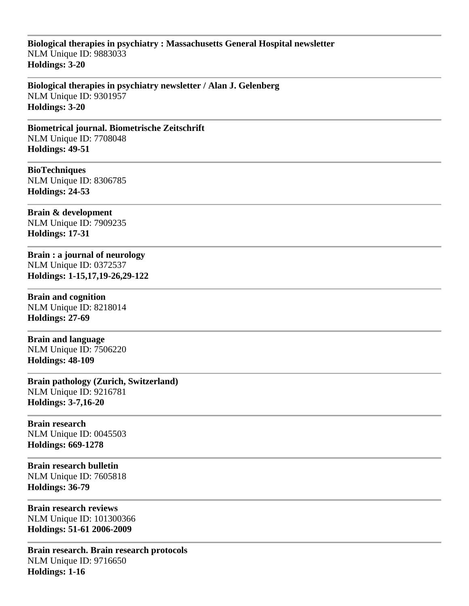## **Biological therapies in psychiatry : Massachusetts General Hospital newsletter** NLM Unique ID: 9883033 **Holdings: 3-20**

**Biological therapies in psychiatry newsletter / Alan J. Gelenberg** NLM Unique ID: 9301957 **Holdings: 3-20** 

**Biometrical journal. Biometrische Zeitschrift** NLM Unique ID: 7708048 **Holdings: 49-51** 

**BioTechniques** NLM Unique ID: 8306785 **Holdings: 24-53** 

**Brain & development** NLM Unique ID: 7909235 **Holdings: 17-31** 

**Brain : a journal of neurology** NLM Unique ID: 0372537 **Holdings: 1-15,17,19-26,29-122** 

**Brain and cognition** NLM Unique ID: 8218014 **Holdings: 27-69** 

**Brain and language** NLM Unique ID: 7506220 **Holdings: 48-109** 

**Brain pathology (Zurich, Switzerland)** NLM Unique ID: 9216781 **Holdings: 3-7,16-20** 

**Brain research** NLM Unique ID: 0045503 **Holdings: 669-1278** 

**Brain research bulletin** NLM Unique ID: 7605818 **Holdings: 36-79** 

**Brain research reviews** NLM Unique ID: 101300366 **Holdings: 51-61 2006-2009**

**Brain research. Brain research protocols** NLM Unique ID: 9716650 **Holdings: 1-16**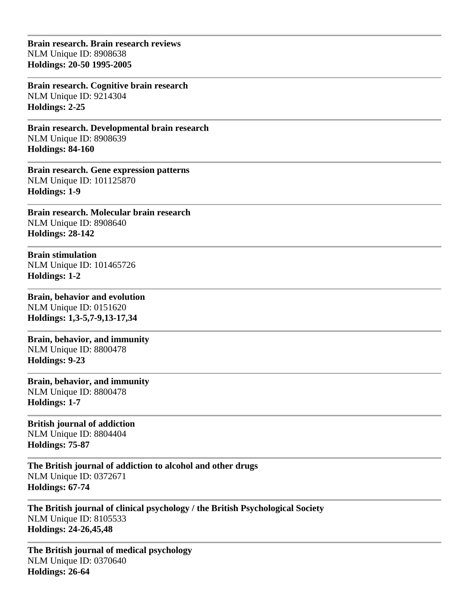**Brain research. Brain research reviews** NLM Unique ID: 8908638 **Holdings: 20-50 1995-2005**

**Brain research. Cognitive brain research** NLM Unique ID: 9214304 **Holdings: 2-25** 

**Brain research. Developmental brain research** NLM Unique ID: 8908639 **Holdings: 84-160** 

**Brain research. Gene expression patterns** NLM Unique ID: 101125870 **Holdings: 1-9** 

**Brain research. Molecular brain research** NLM Unique ID: 8908640 **Holdings: 28-142** 

**Brain stimulation** NLM Unique ID: 101465726 **Holdings: 1-2** 

**Brain, behavior and evolution** NLM Unique ID: 0151620 **Holdings: 1,3-5,7-9,13-17,34** 

**Brain, behavior, and immunity** NLM Unique ID: 8800478 **Holdings: 9-23** 

**Brain, behavior, and immunity** NLM Unique ID: 8800478 **Holdings: 1-7** 

**British journal of addiction** NLM Unique ID: 8804404 **Holdings: 75-87** 

**The British journal of addiction to alcohol and other drugs** NLM Unique ID: 0372671 **Holdings: 67-74** 

**The British journal of clinical psychology / the British Psychological Society** NLM Unique ID: 8105533 **Holdings: 24-26,45,48** 

**The British journal of medical psychology** NLM Unique ID: 0370640 **Holdings: 26-64**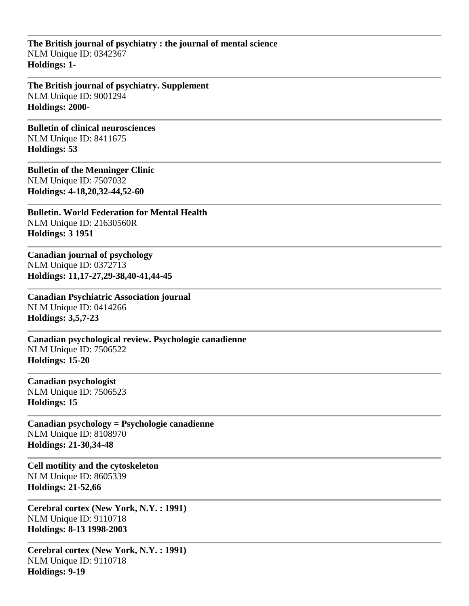**The British journal of psychiatry : the journal of mental science** NLM Unique ID: 0342367 **Holdings: 1-**

**The British journal of psychiatry. Supplement** NLM Unique ID: 9001294 **Holdings: 2000-**

**Bulletin of clinical neurosciences** NLM Unique ID: 8411675 **Holdings: 53** 

**Bulletin of the Menninger Clinic** NLM Unique ID: 7507032 **Holdings: 4-18,20,32-44,52-60** 

**Bulletin. World Federation for Mental Health** NLM Unique ID: 21630560R **Holdings: 3 1951**

**Canadian journal of psychology** NLM Unique ID: 0372713 **Holdings: 11,17-27,29-38,40-41,44-45** 

**Canadian Psychiatric Association journal** NLM Unique ID: 0414266 **Holdings: 3,5,7-23** 

**Canadian psychological review. Psychologie canadienne** NLM Unique ID: 7506522 **Holdings: 15-20** 

**Canadian psychologist** NLM Unique ID: 7506523 **Holdings: 15** 

**Canadian psychology = Psychologie canadienne** NLM Unique ID: 8108970 **Holdings: 21-30,34-48** 

**Cell motility and the cytoskeleton** NLM Unique ID: 8605339 **Holdings: 21-52,66** 

**Cerebral cortex (New York, N.Y. : 1991)** NLM Unique ID: 9110718 **Holdings: 8-13 1998-2003**

**Cerebral cortex (New York, N.Y. : 1991)** NLM Unique ID: 9110718 **Holdings: 9-19**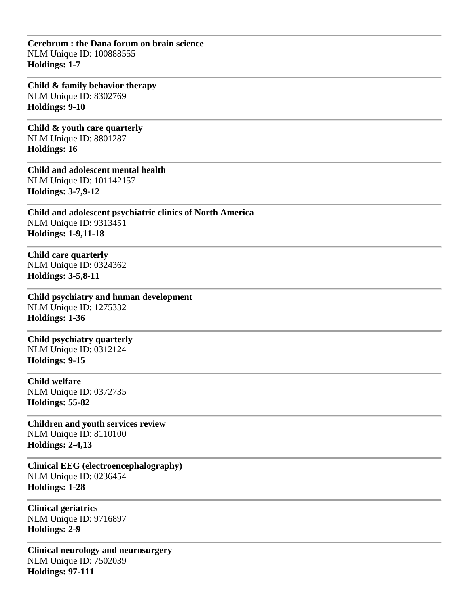**Cerebrum : the Dana forum on brain science** NLM Unique ID: 100888555 **Holdings: 1-7** 

**Child & family behavior therapy** NLM Unique ID: 8302769 **Holdings: 9-10** 

**Child & youth care quarterly** NLM Unique ID: 8801287 **Holdings: 16** 

**Child and adolescent mental health** NLM Unique ID: 101142157 **Holdings: 3-7,9-12** 

**Child and adolescent psychiatric clinics of North America** NLM Unique ID: 9313451 **Holdings: 1-9,11-18** 

**Child care quarterly** NLM Unique ID: 0324362 **Holdings: 3-5,8-11** 

**Child psychiatry and human development** NLM Unique ID: 1275332 **Holdings: 1-36** 

**Child psychiatry quarterly** NLM Unique ID: 0312124 **Holdings: 9-15** 

**Child welfare** NLM Unique ID: 0372735 **Holdings: 55-82** 

**Children and youth services review** NLM Unique ID: 8110100 **Holdings: 2-4,13** 

**Clinical EEG (electroencephalography)** NLM Unique ID: 0236454 **Holdings: 1-28** 

**Clinical geriatrics** NLM Unique ID: 9716897 **Holdings: 2-9** 

**Clinical neurology and neurosurgery** NLM Unique ID: 7502039 **Holdings: 97-111**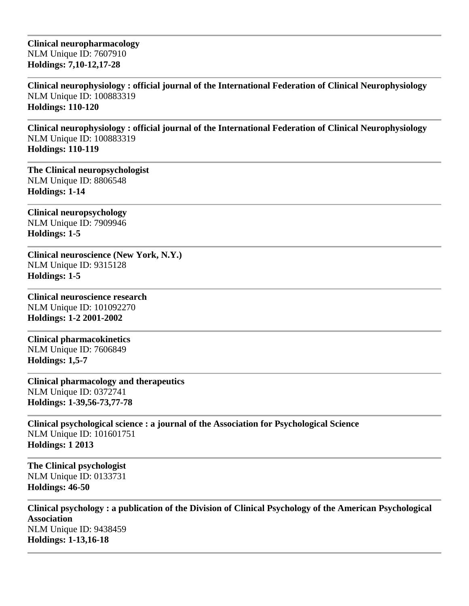**Clinical neuropharmacology** NLM Unique ID: 7607910 **Holdings: 7,10-12,17-28** 

**Clinical neurophysiology : official journal of the International Federation of Clinical Neurophysiology** NLM Unique ID: 100883319 **Holdings: 110-120** 

**Clinical neurophysiology : official journal of the International Federation of Clinical Neurophysiology** NLM Unique ID: 100883319 **Holdings: 110-119** 

**The Clinical neuropsychologist** NLM Unique ID: 8806548 **Holdings: 1-14** 

**Clinical neuropsychology** NLM Unique ID: 7909946 **Holdings: 1-5** 

**Clinical neuroscience (New York, N.Y.)** NLM Unique ID: 9315128 **Holdings: 1-5** 

**Clinical neuroscience research** NLM Unique ID: 101092270 **Holdings: 1-2 2001-2002**

**Clinical pharmacokinetics** NLM Unique ID: 7606849 **Holdings: 1,5-7** 

**Clinical pharmacology and therapeutics** NLM Unique ID: 0372741 **Holdings: 1-39,56-73,77-78** 

**Clinical psychological science : a journal of the Association for Psychological Science** NLM Unique ID: 101601751 **Holdings: 1 2013**

**The Clinical psychologist** NLM Unique ID: 0133731 **Holdings: 46-50** 

**Clinical psychology : a publication of the Division of Clinical Psychology of the American Psychological Association** NLM Unique ID: 9438459 **Holdings: 1-13,16-18**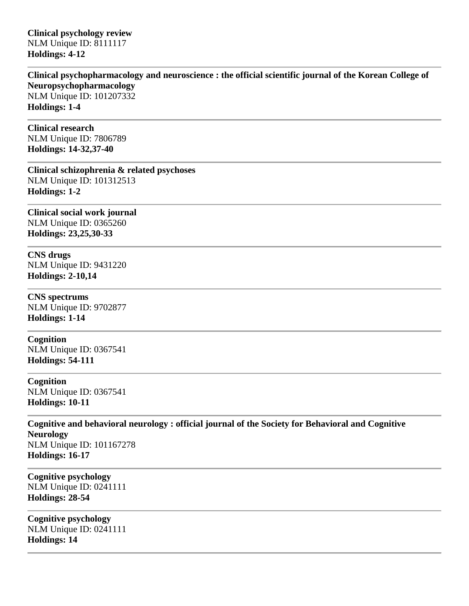**Clinical psychology review** NLM Unique ID: 8111117 **Holdings: 4-12** 

**Clinical psychopharmacology and neuroscience : the official scientific journal of the Korean College of Neuropsychopharmacology** NLM Unique ID: 101207332 **Holdings: 1-4** 

**Clinical research** NLM Unique ID: 7806789 **Holdings: 14-32,37-40** 

**Clinical schizophrenia & related psychoses** NLM Unique ID: 101312513 **Holdings: 1-2** 

**Clinical social work journal** NLM Unique ID: 0365260 **Holdings: 23,25,30-33** 

**CNS drugs** NLM Unique ID: 9431220 **Holdings: 2-10,14** 

**CNS spectrums** NLM Unique ID: 9702877 **Holdings: 1-14** 

**Cognition** NLM Unique ID: 0367541 **Holdings: 54-111** 

**Cognition** NLM Unique ID: 0367541 **Holdings: 10-11** 

**Cognitive and behavioral neurology : official journal of the Society for Behavioral and Cognitive Neurology** NLM Unique ID: 101167278 **Holdings: 16-17** 

**Cognitive psychology** NLM Unique ID: 0241111 **Holdings: 28-54** 

**Cognitive psychology** NLM Unique ID: 0241111 **Holdings: 14**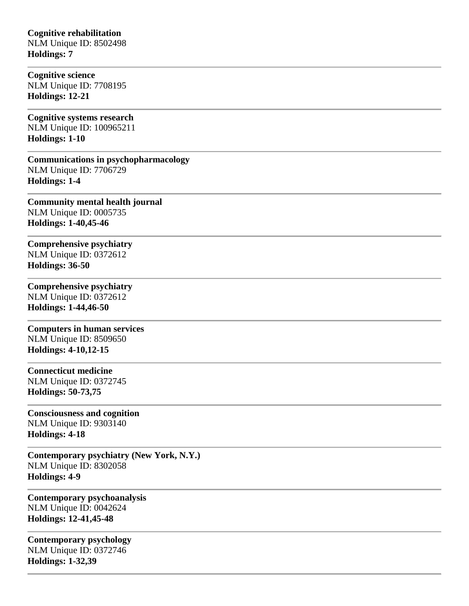### **Cognitive rehabilitation** NLM Unique ID: 8502498 **Holdings: 7**

**Cognitive science** NLM Unique ID: 7708195 **Holdings: 12-21** 

**Cognitive systems research** NLM Unique ID: 100965211 **Holdings: 1-10** 

**Communications in psychopharmacology** NLM Unique ID: 7706729 **Holdings: 1-4** 

**Community mental health journal** NLM Unique ID: 0005735 **Holdings: 1-40,45-46** 

**Comprehensive psychiatry** NLM Unique ID: 0372612 **Holdings: 36-50** 

# **Comprehensive psychiatry**

NLM Unique ID: 0372612 **Holdings: 1-44,46-50** 

**Computers in human services** NLM Unique ID: 8509650 **Holdings: 4-10,12-15** 

### **Connecticut medicine**

NLM Unique ID: 0372745 **Holdings: 50-73,75** 

## **Consciousness and cognition**

NLM Unique ID: 9303140 **Holdings: 4-18** 

**Contemporary psychiatry (New York, N.Y.)** NLM Unique ID: 8302058 **Holdings: 4-9** 

**Contemporary psychoanalysis** NLM Unique ID: 0042624 **Holdings: 12-41,45-48** 

**Contemporary psychology** NLM Unique ID: 0372746 **Holdings: 1-32,39**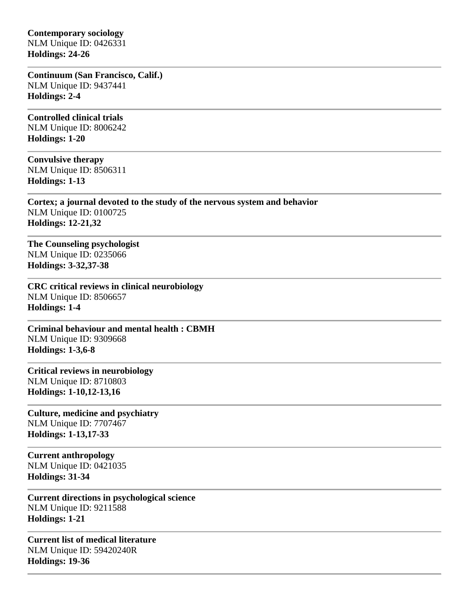**Contemporary sociology** NLM Unique ID: 0426331 **Holdings: 24-26** 

**Continuum (San Francisco, Calif.)** NLM Unique ID: 9437441 **Holdings: 2-4** 

**Controlled clinical trials** NLM Unique ID: 8006242 **Holdings: 1-20** 

**Convulsive therapy** NLM Unique ID: 8506311 **Holdings: 1-13** 

**Cortex; a journal devoted to the study of the nervous system and behavior** NLM Unique ID: 0100725 **Holdings: 12-21,32** 

**The Counseling psychologist** NLM Unique ID: 0235066 **Holdings: 3-32,37-38** 

**CRC critical reviews in clinical neurobiology** NLM Unique ID: 8506657 **Holdings: 1-4** 

**Criminal behaviour and mental health : CBMH** NLM Unique ID: 9309668 **Holdings: 1-3,6-8** 

**Critical reviews in neurobiology** NLM Unique ID: 8710803 **Holdings: 1-10,12-13,16** 

**Culture, medicine and psychiatry** NLM Unique ID: 7707467 **Holdings: 1-13,17-33** 

**Current anthropology** NLM Unique ID: 0421035 **Holdings: 31-34** 

**Current directions in psychological science** NLM Unique ID: 9211588 **Holdings: 1-21** 

**Current list of medical literature** NLM Unique ID: 59420240R **Holdings: 19-36**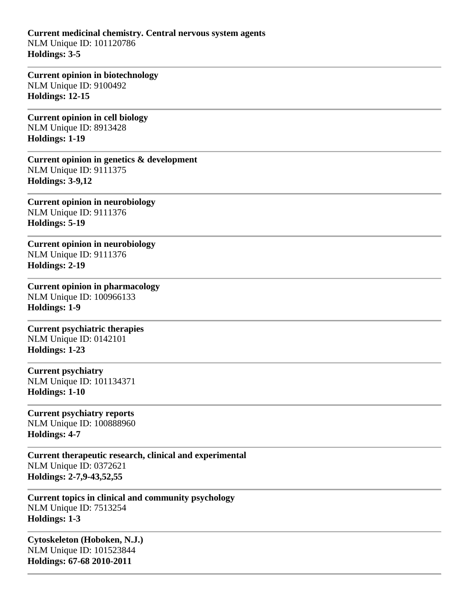**Current medicinal chemistry. Central nervous system agents** NLM Unique ID: 101120786 **Holdings: 3-5** 

**Current opinion in biotechnology** NLM Unique ID: 9100492 **Holdings: 12-15** 

**Current opinion in cell biology** NLM Unique ID: 8913428 **Holdings: 1-19** 

**Current opinion in genetics & development** NLM Unique ID: 9111375 **Holdings: 3-9,12** 

**Current opinion in neurobiology** NLM Unique ID: 9111376 **Holdings: 5-19** 

**Current opinion in neurobiology** NLM Unique ID: 9111376 **Holdings: 2-19** 

**Current opinion in pharmacology** NLM Unique ID: 100966133 **Holdings: 1-9** 

**Current psychiatric therapies** NLM Unique ID: 0142101 **Holdings: 1-23** 

**Current psychiatry** NLM Unique ID: 101134371 **Holdings: 1-10** 

**Current psychiatry reports** NLM Unique ID: 100888960 **Holdings: 4-7** 

**Current therapeutic research, clinical and experimental** NLM Unique ID: 0372621 **Holdings: 2-7,9-43,52,55** 

**Current topics in clinical and community psychology** NLM Unique ID: 7513254 **Holdings: 1-3** 

**Cytoskeleton (Hoboken, N.J.)** NLM Unique ID: 101523844 **Holdings: 67-68 2010-2011**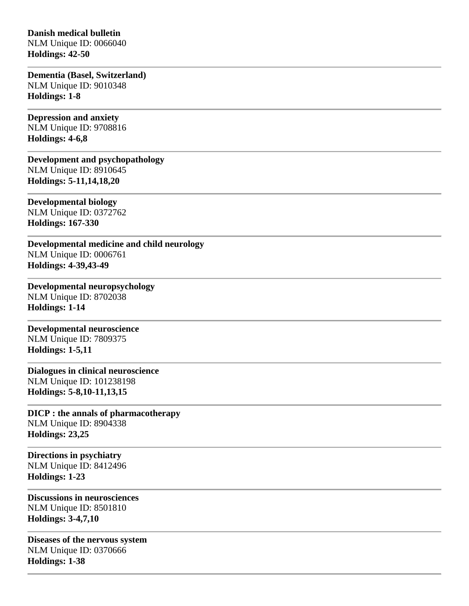### **Danish medical bulletin**

NLM Unique ID: 0066040 **Holdings: 42-50** 

**Dementia (Basel, Switzerland)** NLM Unique ID: 9010348 **Holdings: 1-8** 

**Depression and anxiety** NLM Unique ID: 9708816 **Holdings: 4-6,8** 

**Development and psychopathology** NLM Unique ID: 8910645 **Holdings: 5-11,14,18,20** 

**Developmental biology** NLM Unique ID: 0372762 **Holdings: 167-330** 

**Developmental medicine and child neurology** NLM Unique ID: 0006761 **Holdings: 4-39,43-49**

**Developmental neuropsychology** NLM Unique ID: 8702038 **Holdings: 1-14** 

**Developmental neuroscience** NLM Unique ID: 7809375 **Holdings: 1-5,11** 

**Dialogues in clinical neuroscience** NLM Unique ID: 101238198 **Holdings: 5-8,10-11,13,15** 

**DICP : the annals of pharmacotherapy** NLM Unique ID: 8904338 **Holdings: 23,25** 

**Directions in psychiatry** NLM Unique ID: 8412496 **Holdings: 1-23** 

**Discussions in neurosciences** NLM Unique ID: 8501810 **Holdings: 3-4,7,10** 

**Diseases of the nervous system** NLM Unique ID: 0370666 **Holdings: 1-38**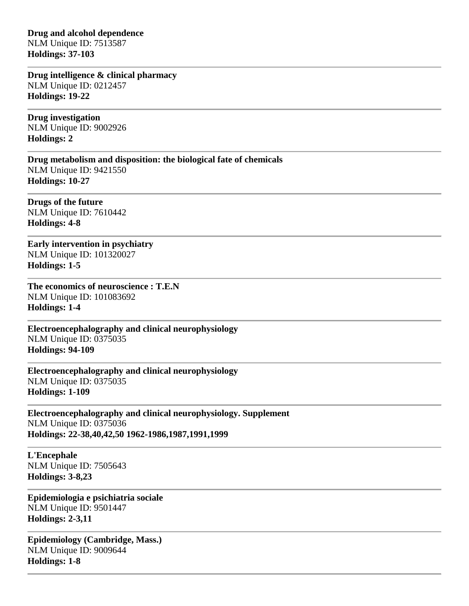**Drug and alcohol dependence** NLM Unique ID: 7513587 **Holdings: 37-103** 

**Drug intelligence & clinical pharmacy** NLM Unique ID: 0212457 **Holdings: 19-22** 

**Drug investigation** NLM Unique ID: 9002926 **Holdings: 2** 

**Drug metabolism and disposition: the biological fate of chemicals** NLM Unique ID: 9421550 **Holdings: 10-27** 

**Drugs of the future** NLM Unique ID: 7610442 **Holdings: 4-8** 

**Early intervention in psychiatry** NLM Unique ID: 101320027 **Holdings: 1-5** 

**The economics of neuroscience : T.E.N** NLM Unique ID: 101083692 **Holdings: 1-4** 

**Electroencephalography and clinical neurophysiology** NLM Unique ID: 0375035 **Holdings: 94-109** 

**Electroencephalography and clinical neurophysiology** NLM Unique ID: 0375035 **Holdings: 1-109**

**Electroencephalography and clinical neurophysiology. Supplement** NLM Unique ID: 0375036 **Holdings: 22-38,40,42,50 1962-1986,1987,1991,1999**

**L'Encephale** NLM Unique ID: 7505643 **Holdings: 3-8,23** 

**Epidemiologia e psichiatria sociale** NLM Unique ID: 9501447 **Holdings: 2-3,11** 

**Epidemiology (Cambridge, Mass.)** NLM Unique ID: 9009644 **Holdings: 1-8**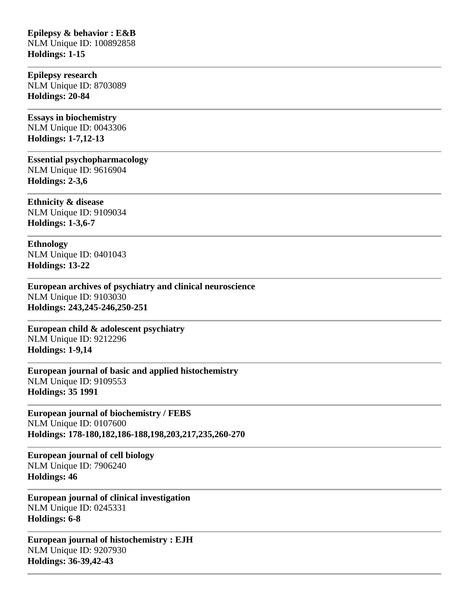### **Epilepsy & behavior : E&B** NLM Unique ID: 100892858 **Holdings: 1-15**

**Epilepsy research** NLM Unique ID: 8703089 **Holdings: 20-84** 

**Essays in biochemistry** NLM Unique ID: 0043306 **Holdings: 1-7,12-13** 

**Essential psychopharmacology** NLM Unique ID: 9616904 **Holdings: 2-3,6** 

**Ethnicity & disease** NLM Unique ID: 9109034 **Holdings: 1-3,6-7** 

**Ethnology** NLM Unique ID: 0401043 **Holdings: 13-22** 

**European archives of psychiatry and clinical neuroscience** NLM Unique ID: 9103030 **Holdings: 243,245-246,250-251** 

**European child & adolescent psychiatry** NLM Unique ID: 9212296 **Holdings: 1-9,14** 

**European journal of basic and applied histochemistry** NLM Unique ID: 9109553 **Holdings: 35 1991**

**European journal of biochemistry / FEBS** NLM Unique ID: 0107600 **Holdings: 178-180,182,186-188,198,203,217,235,260-270** 

**European journal of cell biology** NLM Unique ID: 7906240 **Holdings: 46** 

**European journal of clinical investigation** NLM Unique ID: 0245331 **Holdings: 6-8** 

**European journal of histochemistry : EJH** NLM Unique ID: 9207930 **Holdings: 36-39,42-43**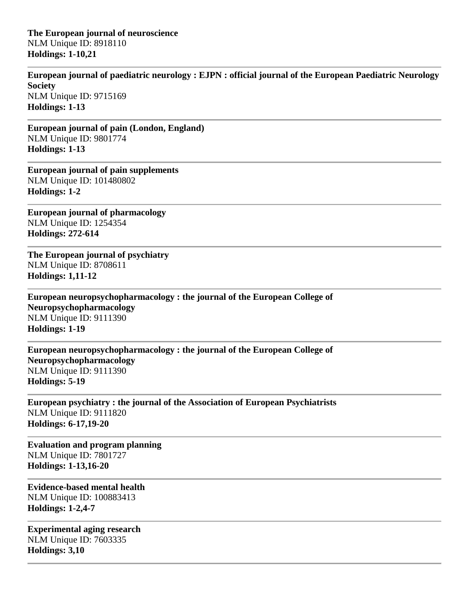**The European journal of neuroscience** NLM Unique ID: 8918110 **Holdings: 1-10,21** 

**European journal of paediatric neurology : EJPN : official journal of the European Paediatric Neurology Society** NLM Unique ID: 9715169 **Holdings: 1-13** 

**European journal of pain (London, England)** NLM Unique ID: 9801774 **Holdings: 1-13** 

**European journal of pain supplements** NLM Unique ID: 101480802 **Holdings: 1-2** 

**European journal of pharmacology** NLM Unique ID: 1254354 **Holdings: 272-614** 

**The European journal of psychiatry** NLM Unique ID: 8708611 **Holdings: 1,11-12** 

**European neuropsychopharmacology : the journal of the European College of Neuropsychopharmacology** NLM Unique ID: 9111390 **Holdings: 1-19** 

**European neuropsychopharmacology : the journal of the European College of Neuropsychopharmacology** NLM Unique ID: 9111390 **Holdings: 5-19** 

**European psychiatry : the journal of the Association of European Psychiatrists** NLM Unique ID: 9111820 **Holdings: 6-17,19-20** 

**Evaluation and program planning** NLM Unique ID: 7801727 **Holdings: 1-13,16-20** 

**Evidence-based mental health** NLM Unique ID: 100883413 **Holdings: 1-2,4-7** 

**Experimental aging research** NLM Unique ID: 7603335 **Holdings: 3,10**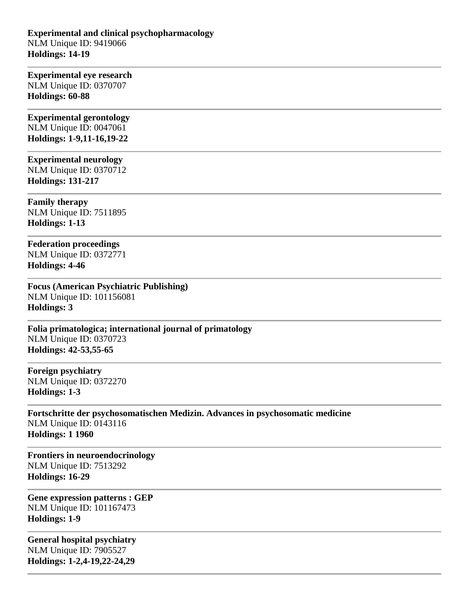### **Experimental and clinical psychopharmacology** NLM Unique ID: 9419066 **Holdings: 14-19**

### **Experimental eye research** NLM Unique ID: 0370707 **Holdings: 60-88**

**Experimental gerontology** NLM Unique ID: 0047061 **Holdings: 1-9,11-16,19-22** 

### **Experimental neurology**

NLM Unique ID: 0370712 **Holdings: 131-217** 

**Family therapy** NLM Unique ID: 7511895 **Holdings: 1-13** 

**Federation proceedings** NLM Unique ID: 0372771 **Holdings: 4-46** 

**Focus (American Psychiatric Publishing)** NLM Unique ID: 101156081 **Holdings: 3** 

**Folia primatologica; international journal of primatology** NLM Unique ID: 0370723 **Holdings: 42-53,55-65** 

**Foreign psychiatry** NLM Unique ID: 0372270 **Holdings: 1-3** 

**Fortschritte der psychosomatischen Medizin. Advances in psychosomatic medicine** NLM Unique ID: 0143116 **Holdings: 1 1960**

**Frontiers in neuroendocrinology** NLM Unique ID: 7513292 **Holdings: 16-29** 

**Gene expression patterns : GEP** NLM Unique ID: 101167473 **Holdings: 1-9** 

**General hospital psychiatry** NLM Unique ID: 7905527 **Holdings: 1-2,4-19,22-24,29**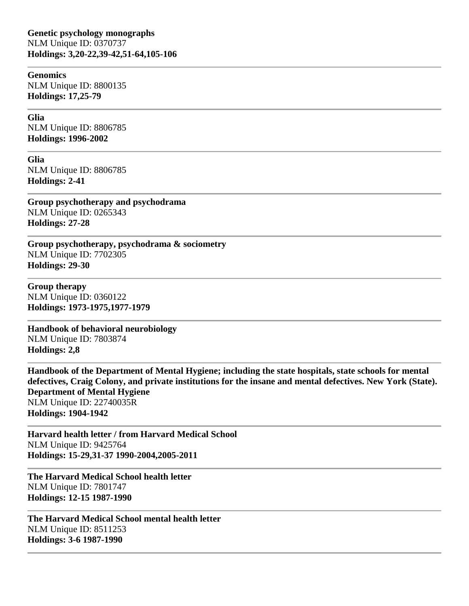#### **Genomics**

NLM Unique ID: 8800135 **Holdings: 17,25-79** 

### **Glia**

NLM Unique ID: 8806785 **Holdings: 1996-2002**

**Glia**

NLM Unique ID: 8806785 **Holdings: 2-41** 

**Group psychotherapy and psychodrama** NLM Unique ID: 0265343 **Holdings: 27-28** 

**Group psychotherapy, psychodrama & sociometry** NLM Unique ID: 7702305 **Holdings: 29-30** 

**Group therapy** NLM Unique ID: 0360122 **Holdings: 1973-1975,1977-1979**

**Handbook of behavioral neurobiology** NLM Unique ID: 7803874 **Holdings: 2,8** 

**Handbook of the Department of Mental Hygiene; including the state hospitals, state schools for mental defectives, Craig Colony, and private institutions for the insane and mental defectives. New York (State). Department of Mental Hygiene** NLM Unique ID: 22740035R **Holdings: 1904-1942**

**Harvard health letter / from Harvard Medical School** NLM Unique ID: 9425764 **Holdings: 15-29,31-37 1990-2004,2005-2011**

**The Harvard Medical School health letter** NLM Unique ID: 7801747 **Holdings: 12-15 1987-1990**

**The Harvard Medical School mental health letter** NLM Unique ID: 8511253 **Holdings: 3-6 1987-1990**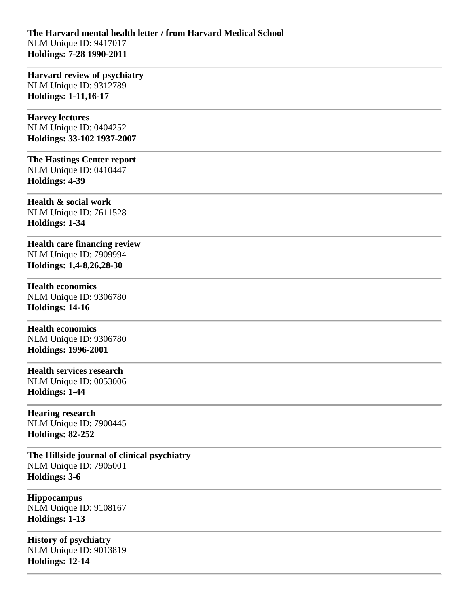### **The Harvard mental health letter / from Harvard Medical School** NLM Unique ID: 9417017 **Holdings: 7-28 1990-2011**

**Harvard review of psychiatry** NLM Unique ID: 9312789 **Holdings: 1-11,16-17** 

**Harvey lectures** NLM Unique ID: 0404252 **Holdings: 33-102 1937-2007**

**The Hastings Center report** NLM Unique ID: 0410447 **Holdings: 4-39** 

**Health & social work** NLM Unique ID: 7611528 **Holdings: 1-34** 

**Health care financing review** NLM Unique ID: 7909994 **Holdings: 1,4-8,26,28-30** 

**Health economics** NLM Unique ID: 9306780 **Holdings: 14-16** 

**Health economics** NLM Unique ID: 9306780 **Holdings: 1996-2001**

**Health services research** NLM Unique ID: 0053006 **Holdings: 1-44** 

**Hearing research** NLM Unique ID: 7900445 **Holdings: 82-252** 

**The Hillside journal of clinical psychiatry** NLM Unique ID: 7905001 **Holdings: 3-6** 

**Hippocampus** NLM Unique ID: 9108167 **Holdings: 1-13** 

**History of psychiatry** NLM Unique ID: 9013819 **Holdings: 12-14**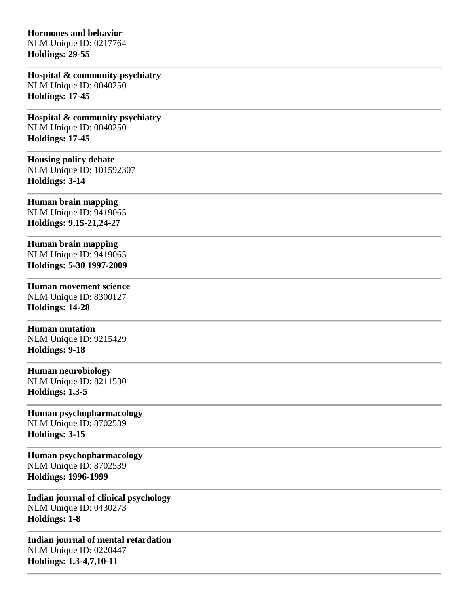### **Hormones and behavior**

NLM Unique ID: 0217764 **Holdings: 29-55** 

**Hospital & community psychiatry** NLM Unique ID: 0040250 **Holdings: 17-45** 

**Hospital & community psychiatry** NLM Unique ID: 0040250 **Holdings: 17-45** 

### **Housing policy debate**

NLM Unique ID: 101592307 **Holdings: 3-14** 

# **Human brain mapping**

NLM Unique ID: 9419065 **Holdings: 9,15-21,24-27** 

# **Human brain mapping**

NLM Unique ID: 9419065 **Holdings: 5-30 1997-2009**

# **Human movement science**

NLM Unique ID: 8300127 **Holdings: 14-28** 

## **Human mutation**

NLM Unique ID: 9215429 **Holdings: 9-18** 

### **Human neurobiology**

NLM Unique ID: 8211530 **Holdings: 1,3-5** 

# **Human psychopharmacology**

NLM Unique ID: 8702539 **Holdings: 3-15** 

**Human psychopharmacology** NLM Unique ID: 8702539 **Holdings: 1996-1999**

**Indian journal of clinical psychology** NLM Unique ID: 0430273 **Holdings: 1-8** 

**Indian journal of mental retardation** NLM Unique ID: 0220447 **Holdings: 1,3-4,7,10-11**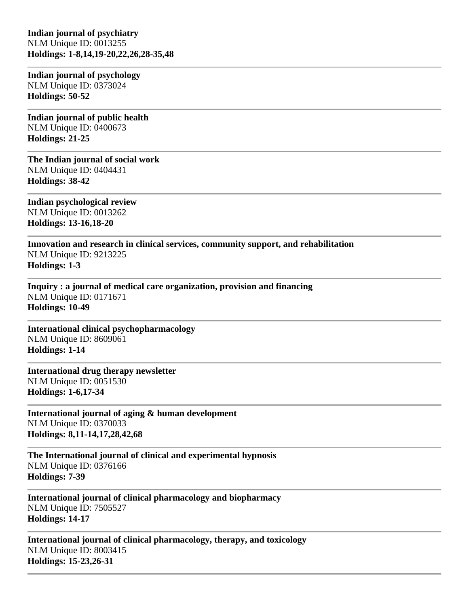**Indian journal of psychiatry** NLM Unique ID: 0013255 **Holdings: 1-8,14,19-20,22,26,28-35,48** 

**Indian journal of psychology** NLM Unique ID: 0373024 **Holdings: 50-52** 

**Indian journal of public health** NLM Unique ID: 0400673 **Holdings: 21-25** 

**The Indian journal of social work** NLM Unique ID: 0404431 **Holdings: 38-42** 

**Indian psychological review** NLM Unique ID: 0013262 **Holdings: 13-16,18-20** 

**Innovation and research in clinical services, community support, and rehabilitation** NLM Unique ID: 9213225 **Holdings: 1-3** 

**Inquiry : a journal of medical care organization, provision and financing** NLM Unique ID: 0171671 **Holdings: 10-49** 

**International clinical psychopharmacology** NLM Unique ID: 8609061 **Holdings: 1-14** 

**International drug therapy newsletter** NLM Unique ID: 0051530 **Holdings: 1-6,17-34** 

**International journal of aging & human development** NLM Unique ID: 0370033 **Holdings: 8,11-14,17,28,42,68** 

**The International journal of clinical and experimental hypnosis** NLM Unique ID: 0376166 **Holdings: 7-39** 

**International journal of clinical pharmacology and biopharmacy** NLM Unique ID: 7505527 **Holdings: 14-17** 

**International journal of clinical pharmacology, therapy, and toxicology** NLM Unique ID: 8003415 **Holdings: 15-23,26-31**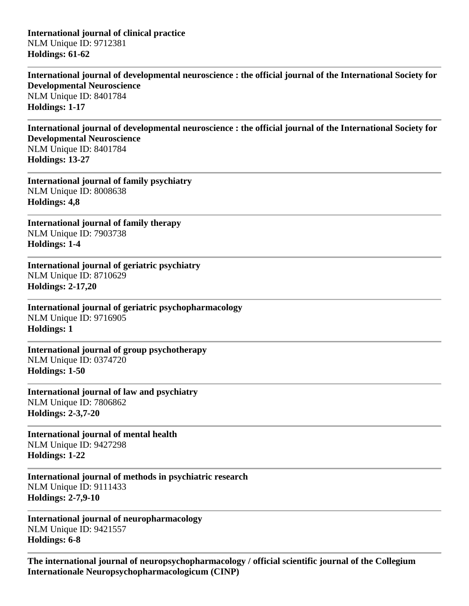**International journal of clinical practice** NLM Unique ID: 9712381 **Holdings: 61-62** 

**International journal of developmental neuroscience : the official journal of the International Society for Developmental Neuroscience** NLM Unique ID: 8401784 **Holdings: 1-17** 

**International journal of developmental neuroscience : the official journal of the International Society for Developmental Neuroscience** NLM Unique ID: 8401784 **Holdings: 13-27** 

**International journal of family psychiatry** NLM Unique ID: 8008638 **Holdings: 4,8** 

**International journal of family therapy** NLM Unique ID: 7903738 **Holdings: 1-4** 

**International journal of geriatric psychiatry** NLM Unique ID: 8710629 **Holdings: 2-17,20** 

**International journal of geriatric psychopharmacology** NLM Unique ID: 9716905 **Holdings: 1** 

**International journal of group psychotherapy** NLM Unique ID: 0374720 **Holdings: 1-50** 

**International journal of law and psychiatry** NLM Unique ID: 7806862 **Holdings: 2-3,7-20** 

**International journal of mental health** NLM Unique ID: 9427298 **Holdings: 1-22** 

**International journal of methods in psychiatric research** NLM Unique ID: 9111433 **Holdings: 2-7,9-10** 

**International journal of neuropharmacology** NLM Unique ID: 9421557 **Holdings: 6-8** 

**The international journal of neuropsychopharmacology / official scientific journal of the Collegium Internationale Neuropsychopharmacologicum (CINP)**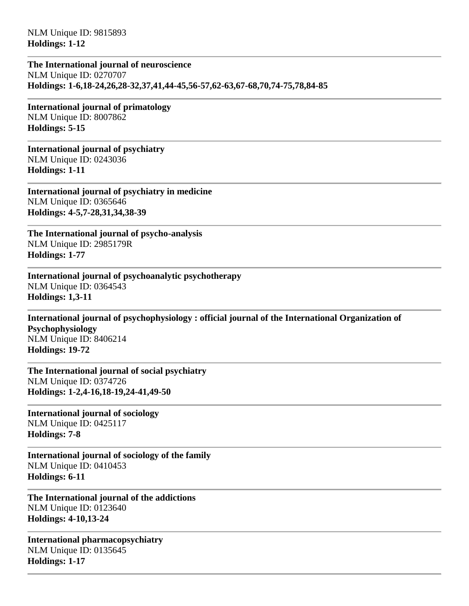NLM Unique ID: 9815893 **Holdings: 1-12** 

**The International journal of neuroscience** NLM Unique ID: 0270707 **Holdings: 1-6,18-24,26,28-32,37,41,44-45,56-57,62-63,67-68,70,74-75,78,84-85** 

**International journal of primatology** NLM Unique ID: 8007862 **Holdings: 5-15** 

**International journal of psychiatry** NLM Unique ID: 0243036 **Holdings: 1-11** 

**International journal of psychiatry in medicine** NLM Unique ID: 0365646 **Holdings: 4-5,7-28,31,34,38-39** 

**The International journal of psycho-analysis** NLM Unique ID: 2985179R **Holdings: 1-77** 

**International journal of psychoanalytic psychotherapy** NLM Unique ID: 0364543 **Holdings: 1,3-11** 

**International journal of psychophysiology : official journal of the International Organization of Psychophysiology** NLM Unique ID: 8406214 **Holdings: 19-72** 

**The International journal of social psychiatry** NLM Unique ID: 0374726 **Holdings: 1-2,4-16,18-19,24-41,49-50** 

**International journal of sociology** NLM Unique ID: 0425117 **Holdings: 7-8** 

**International journal of sociology of the family** NLM Unique ID: 0410453 **Holdings: 6-11** 

**The International journal of the addictions** NLM Unique ID: 0123640 **Holdings: 4-10,13-24** 

**International pharmacopsychiatry** NLM Unique ID: 0135645 **Holdings: 1-17**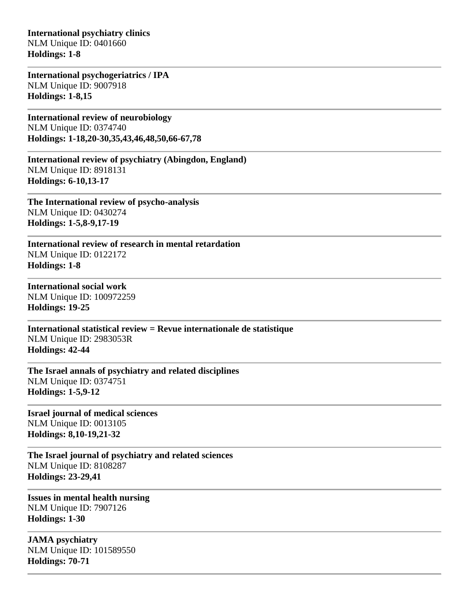**International psychiatry clinics** NLM Unique ID: 0401660 **Holdings: 1-8** 

**International psychogeriatrics / IPA** NLM Unique ID: 9007918 **Holdings: 1-8,15** 

**International review of neurobiology** NLM Unique ID: 0374740 **Holdings: 1-18,20-30,35,43,46,48,50,66-67,78** 

**International review of psychiatry (Abingdon, England)** NLM Unique ID: 8918131 **Holdings: 6-10,13-17** 

**The International review of psycho-analysis** NLM Unique ID: 0430274 **Holdings: 1-5,8-9,17-19** 

**International review of research in mental retardation** NLM Unique ID: 0122172 **Holdings: 1-8** 

**International social work** NLM Unique ID: 100972259 **Holdings: 19-25** 

**International statistical review = Revue internationale de statistique** NLM Unique ID: 2983053R **Holdings: 42-44** 

**The Israel annals of psychiatry and related disciplines** NLM Unique ID: 0374751 **Holdings: 1-5,9-12** 

**Israel journal of medical sciences** NLM Unique ID: 0013105 **Holdings: 8,10-19,21-32** 

**The Israel journal of psychiatry and related sciences** NLM Unique ID: 8108287 **Holdings: 23-29,41** 

**Issues in mental health nursing** NLM Unique ID: 7907126 **Holdings: 1-30** 

**JAMA psychiatry** NLM Unique ID: 101589550 **Holdings: 70-71**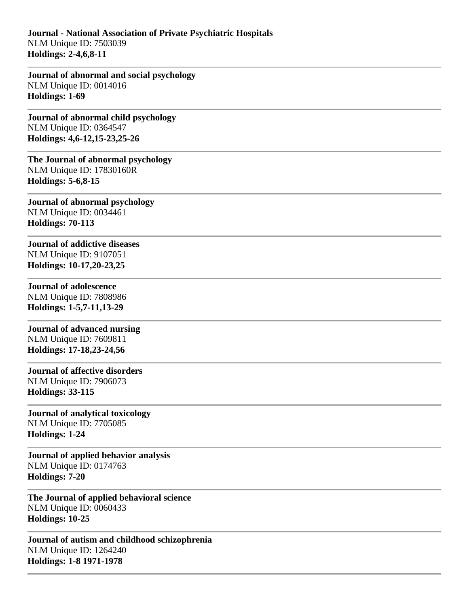**Journal - National Association of Private Psychiatric Hospitals** NLM Unique ID: 7503039 **Holdings: 2-4,6,8-11** 

**Journal of abnormal and social psychology** NLM Unique ID: 0014016 **Holdings: 1-69** 

**Journal of abnormal child psychology** NLM Unique ID: 0364547 **Holdings: 4,6-12,15-23,25-26** 

**The Journal of abnormal psychology** NLM Unique ID: 17830160R **Holdings: 5-6,8-15** 

**Journal of abnormal psychology** NLM Unique ID: 0034461 **Holdings: 70-113** 

**Journal of addictive diseases** NLM Unique ID: 9107051 **Holdings: 10-17,20-23,25** 

# **Journal of adolescence**

NLM Unique ID: 7808986 **Holdings: 1-5,7-11,13-29** 

**Journal of advanced nursing** NLM Unique ID: 7609811 **Holdings: 17-18,23-24,56** 

# **Journal of affective disorders**

NLM Unique ID: 7906073 **Holdings: 33-115** 

# **Journal of analytical toxicology**

NLM Unique ID: 7705085 **Holdings: 1-24** 

**Journal of applied behavior analysis** NLM Unique ID: 0174763 **Holdings: 7-20** 

**The Journal of applied behavioral science** NLM Unique ID: 0060433 **Holdings: 10-25** 

**Journal of autism and childhood schizophrenia** NLM Unique ID: 1264240 **Holdings: 1-8 1971-1978**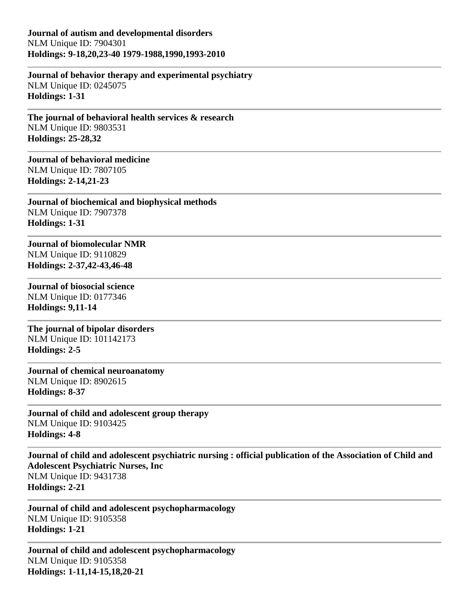**Journal of autism and developmental disorders** NLM Unique ID: 7904301 **Holdings: 9-18,20,23-40 1979-1988,1990,1993-2010**

**Journal of behavior therapy and experimental psychiatry** NLM Unique ID: 0245075 **Holdings: 1-31** 

**The journal of behavioral health services & research** NLM Unique ID: 9803531 **Holdings: 25-28,32** 

**Journal of behavioral medicine** NLM Unique ID: 7807105 **Holdings: 2-14,21-23** 

**Journal of biochemical and biophysical methods** NLM Unique ID: 7907378 **Holdings: 1-31** 

**Journal of biomolecular NMR** NLM Unique ID: 9110829 **Holdings: 2-37,42-43,46-48** 

**Journal of biosocial science** NLM Unique ID: 0177346 **Holdings: 9,11-14** 

**The journal of bipolar disorders** NLM Unique ID: 101142173 **Holdings: 2-5** 

**Journal of chemical neuroanatomy** NLM Unique ID: 8902615 **Holdings: 8-37** 

**Journal of child and adolescent group therapy** NLM Unique ID: 9103425 **Holdings: 4-8** 

**Journal of child and adolescent psychiatric nursing : official publication of the Association of Child and Adolescent Psychiatric Nurses, Inc** NLM Unique ID: 9431738 **Holdings: 2-21** 

**Journal of child and adolescent psychopharmacology** NLM Unique ID: 9105358 **Holdings: 1-21** 

**Journal of child and adolescent psychopharmacology** NLM Unique ID: 9105358 **Holdings: 1-11,14-15,18,20-21**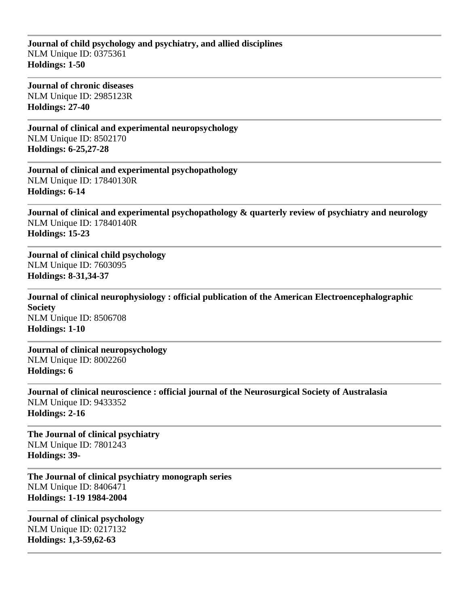### **Journal of child psychology and psychiatry, and allied disciplines** NLM Unique ID: 0375361 **Holdings: 1-50**

**Journal of chronic diseases** NLM Unique ID: 2985123R **Holdings: 27-40** 

**Journal of clinical and experimental neuropsychology** NLM Unique ID: 8502170 **Holdings: 6-25,27-28** 

**Journal of clinical and experimental psychopathology** NLM Unique ID: 17840130R **Holdings: 6-14** 

**Journal of clinical and experimental psychopathology & quarterly review of psychiatry and neurology** NLM Unique ID: 17840140R **Holdings: 15-23** 

**Journal of clinical child psychology** NLM Unique ID: 7603095 **Holdings: 8-31,34-37** 

**Journal of clinical neurophysiology : official publication of the American Electroencephalographic Society** NLM Unique ID: 8506708 **Holdings: 1-10** 

**Journal of clinical neuropsychology** NLM Unique ID: 8002260 **Holdings: 6** 

**Journal of clinical neuroscience : official journal of the Neurosurgical Society of Australasia** NLM Unique ID: 9433352 **Holdings: 2-16** 

**The Journal of clinical psychiatry** NLM Unique ID: 7801243 **Holdings: 39-**

**The Journal of clinical psychiatry monograph series** NLM Unique ID: 8406471 **Holdings: 1-19 1984-2004**

**Journal of clinical psychology** NLM Unique ID: 0217132 **Holdings: 1,3-59,62-63**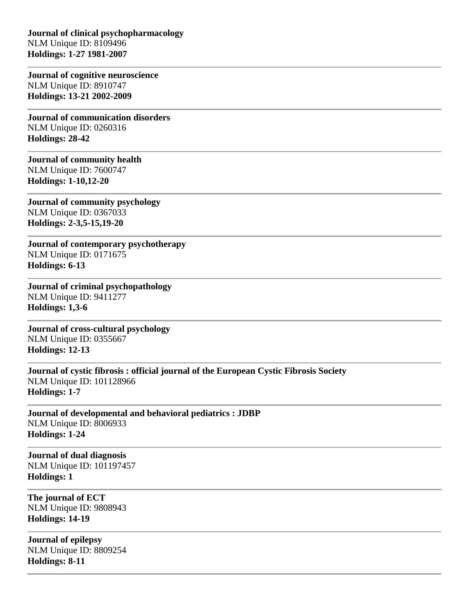**Journal of clinical psychopharmacology** NLM Unique ID: 8109496 **Holdings: 1-27 1981-2007**

**Journal of cognitive neuroscience** NLM Unique ID: 8910747 **Holdings: 13-21 2002-2009**

**Journal of communication disorders** NLM Unique ID: 0260316 **Holdings: 28-42** 

**Journal of community health** NLM Unique ID: 7600747 **Holdings: 1-10,12-20** 

**Journal of community psychology** NLM Unique ID: 0367033 **Holdings: 2-3,5-15,19-20** 

**Journal of contemporary psychotherapy** NLM Unique ID: 0171675 **Holdings: 6-13** 

**Journal of criminal psychopathology** NLM Unique ID: 9411277 **Holdings: 1,3-6** 

**Journal of cross-cultural psychology** NLM Unique ID: 0355667 **Holdings: 12-13** 

**Journal of cystic fibrosis : official journal of the European Cystic Fibrosis Society** NLM Unique ID: 101128966 **Holdings: 1-7** 

**Journal of developmental and behavioral pediatrics : JDBP** NLM Unique ID: 8006933 **Holdings: 1-24** 

**Journal of dual diagnosis** NLM Unique ID: 101197457 **Holdings: 1** 

**The journal of ECT** NLM Unique ID: 9808943 **Holdings: 14-19** 

**Journal of epilepsy** NLM Unique ID: 8809254 **Holdings: 8-11**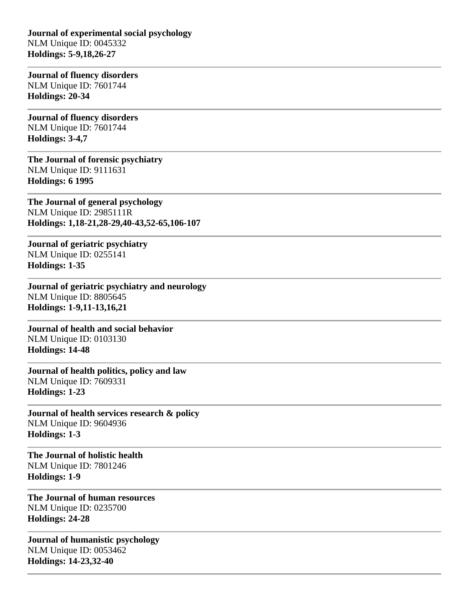**Journal of experimental social psychology** NLM Unique ID: 0045332 **Holdings: 5-9,18,26-27** 

**Journal of fluency disorders** NLM Unique ID: 7601744 **Holdings: 20-34** 

**Journal of fluency disorders** NLM Unique ID: 7601744 **Holdings: 3-4,7** 

**The Journal of forensic psychiatry** NLM Unique ID: 9111631 **Holdings: 6 1995**

**The Journal of general psychology** NLM Unique ID: 2985111R **Holdings: 1,18-21,28-29,40-43,52-65,106-107** 

**Journal of geriatric psychiatry** NLM Unique ID: 0255141 **Holdings: 1-35** 

**Journal of geriatric psychiatry and neurology** NLM Unique ID: 8805645 **Holdings: 1-9,11-13,16,21** 

**Journal of health and social behavior** NLM Unique ID: 0103130 **Holdings: 14-48** 

**Journal of health politics, policy and law** NLM Unique ID: 7609331 **Holdings: 1-23** 

**Journal of health services research & policy** NLM Unique ID: 9604936 **Holdings: 1-3** 

**The Journal of holistic health** NLM Unique ID: 7801246 **Holdings: 1-9** 

**The Journal of human resources** NLM Unique ID: 0235700 **Holdings: 24-28** 

**Journal of humanistic psychology** NLM Unique ID: 0053462 **Holdings: 14-23,32-40**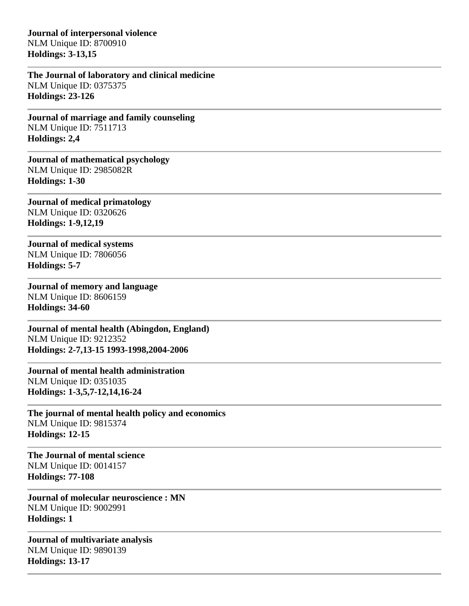**Journal of interpersonal violence** NLM Unique ID: 8700910 **Holdings: 3-13,15** 

**The Journal of laboratory and clinical medicine** NLM Unique ID: 0375375 **Holdings: 23-126** 

**Journal of marriage and family counseling** NLM Unique ID: 7511713 **Holdings: 2,4** 

**Journal of mathematical psychology** NLM Unique ID: 2985082R **Holdings: 1-30** 

**Journal of medical primatology** NLM Unique ID: 0320626 **Holdings: 1-9,12,19** 

**Journal of medical systems** NLM Unique ID: 7806056 **Holdings: 5-7** 

**Journal of memory and language** NLM Unique ID: 8606159 **Holdings: 34-60** 

**Journal of mental health (Abingdon, England)** NLM Unique ID: 9212352 **Holdings: 2-7,13-15 1993-1998,2004-2006**

**Journal of mental health administration** NLM Unique ID: 0351035 **Holdings: 1-3,5,7-12,14,16-24** 

**The journal of mental health policy and economics** NLM Unique ID: 9815374 **Holdings: 12-15**

**The Journal of mental science** NLM Unique ID: 0014157 **Holdings: 77-108** 

**Journal of molecular neuroscience : MN** NLM Unique ID: 9002991 **Holdings: 1** 

**Journal of multivariate analysis** NLM Unique ID: 9890139 **Holdings: 13-17**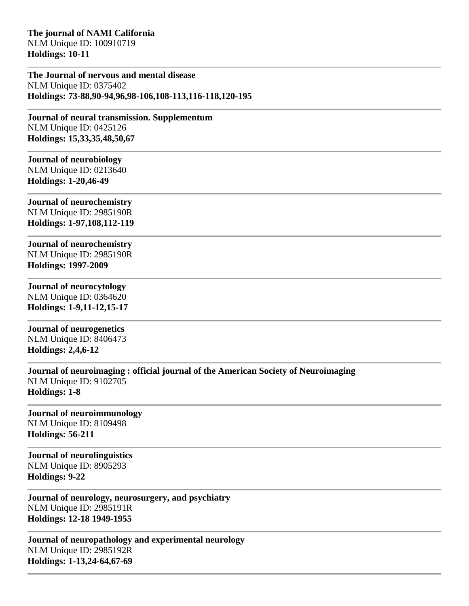**The journal of NAMI California** NLM Unique ID: 100910719 **Holdings: 10-11** 

**The Journal of nervous and mental disease** NLM Unique ID: 0375402 **Holdings: 73-88,90-94,96,98-106,108-113,116-118,120-195** 

**Journal of neural transmission. Supplementum** NLM Unique ID: 0425126 **Holdings: 15,33,35,48,50,67** 

## **Journal of neurobiology** NLM Unique ID: 0213640

**Holdings: 1-20,46-49** 

**Journal of neurochemistry** NLM Unique ID: 2985190R **Holdings: 1-97,108,112-119** 

**Journal of neurochemistry** NLM Unique ID: 2985190R **Holdings: 1997-2009**

# **Journal of neurocytology**

NLM Unique ID: 0364620 **Holdings: 1-9,11-12,15-17** 

**Journal of neurogenetics** NLM Unique ID: 8406473 **Holdings: 2,4,6-12** 

**Journal of neuroimaging : official journal of the American Society of Neuroimaging** NLM Unique ID: 9102705 **Holdings: 1-8** 

# **Journal of neuroimmunology**

NLM Unique ID: 8109498 **Holdings: 56-211** 

**Journal of neurolinguistics** NLM Unique ID: 8905293 **Holdings: 9-22** 

**Journal of neurology, neurosurgery, and psychiatry** NLM Unique ID: 2985191R **Holdings: 12-18 1949-1955**

**Journal of neuropathology and experimental neurology** NLM Unique ID: 2985192R **Holdings: 1-13,24-64,67-69**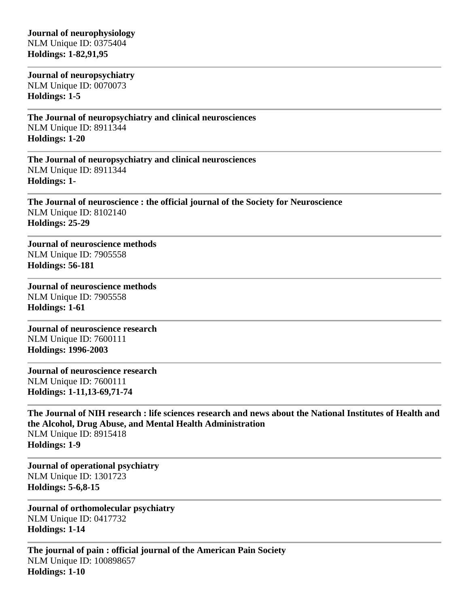### **Journal of neurophysiology** NLM Unique ID: 0375404 **Holdings: 1-82,91,95**

**Journal of neuropsychiatry** NLM Unique ID: 0070073 **Holdings: 1-5** 

**The Journal of neuropsychiatry and clinical neurosciences** NLM Unique ID: 8911344 **Holdings: 1-20** 

**The Journal of neuropsychiatry and clinical neurosciences** NLM Unique ID: 8911344 **Holdings: 1-**

**The Journal of neuroscience : the official journal of the Society for Neuroscience** NLM Unique ID: 8102140 **Holdings: 25-29** 

**Journal of neuroscience methods** NLM Unique ID: 7905558 **Holdings: 56-181** 

**Journal of neuroscience methods** NLM Unique ID: 7905558 **Holdings: 1-61** 

**Journal of neuroscience research** NLM Unique ID: 7600111 **Holdings: 1996-2003**

**Journal of neuroscience research** NLM Unique ID: 7600111 **Holdings: 1-11,13-69,71-74** 

**The Journal of NIH research : life sciences research and news about the National Institutes of Health and the Alcohol, Drug Abuse, and Mental Health Administration** NLM Unique ID: 8915418 **Holdings: 1-9** 

**Journal of operational psychiatry** NLM Unique ID: 1301723 **Holdings: 5-6,8-15** 

**Journal of orthomolecular psychiatry** NLM Unique ID: 0417732 **Holdings: 1-14** 

**The journal of pain : official journal of the American Pain Society** NLM Unique ID: 100898657 **Holdings: 1-10**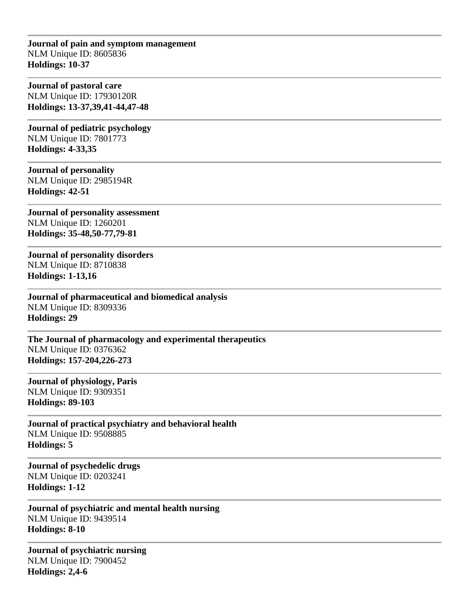**Journal of pain and symptom management** NLM Unique ID: 8605836 **Holdings: 10-37** 

**Journal of pastoral care** NLM Unique ID: 17930120R **Holdings: 13-37,39,41-44,47-48** 

**Journal of pediatric psychology** NLM Unique ID: 7801773 **Holdings: 4-33,35** 

**Journal of personality** NLM Unique ID: 2985194R **Holdings: 42-51** 

**Journal of personality assessment** NLM Unique ID: 1260201 **Holdings: 35-48,50-77,79-81** 

**Journal of personality disorders** NLM Unique ID: 8710838 **Holdings: 1-13,16** 

**Journal of pharmaceutical and biomedical analysis** NLM Unique ID: 8309336 **Holdings: 29** 

**The Journal of pharmacology and experimental therapeutics** NLM Unique ID: 0376362 **Holdings: 157-204,226-273** 

**Journal of physiology, Paris** NLM Unique ID: 9309351 **Holdings: 89-103** 

**Journal of practical psychiatry and behavioral health** NLM Unique ID: 9508885 **Holdings: 5** 

**Journal of psychedelic drugs** NLM Unique ID: 0203241 **Holdings: 1-12** 

**Journal of psychiatric and mental health nursing** NLM Unique ID: 9439514 **Holdings: 8-10** 

**Journal of psychiatric nursing** NLM Unique ID: 7900452 **Holdings: 2,4-6**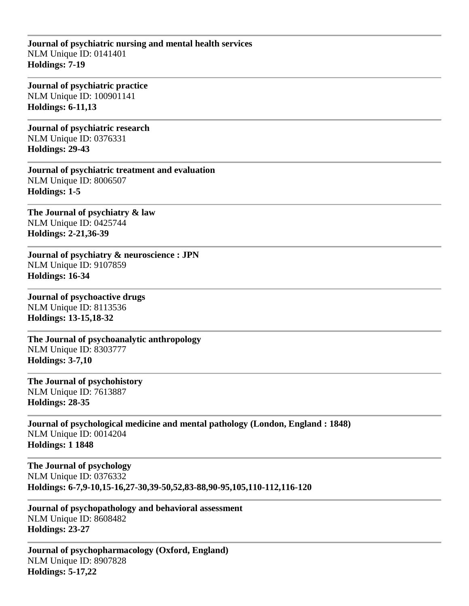### **Journal of psychiatric nursing and mental health services** NLM Unique ID: 0141401 **Holdings: 7-19**

**Journal of psychiatric practice** NLM Unique ID: 100901141 **Holdings: 6-11,13** 

**Journal of psychiatric research** NLM Unique ID: 0376331 **Holdings: 29-43** 

**Journal of psychiatric treatment and evaluation** NLM Unique ID: 8006507 **Holdings: 1-5** 

**The Journal of psychiatry & law** NLM Unique ID: 0425744 **Holdings: 2-21,36-39** 

**Journal of psychiatry & neuroscience : JPN** NLM Unique ID: 9107859 **Holdings: 16-34** 

**Journal of psychoactive drugs** NLM Unique ID: 8113536 **Holdings: 13-15,18-32** 

**The Journal of psychoanalytic anthropology** NLM Unique ID: 8303777 **Holdings: 3-7,10** 

**The Journal of psychohistory** NLM Unique ID: 7613887 **Holdings: 28-35** 

**Journal of psychological medicine and mental pathology (London, England : 1848)** NLM Unique ID: 0014204 **Holdings: 1 1848**

**The Journal of psychology** NLM Unique ID: 0376332 **Holdings: 6-7,9-10,15-16,27-30,39-50,52,83-88,90-95,105,110-112,116-120** 

**Journal of psychopathology and behavioral assessment** NLM Unique ID: 8608482 **Holdings: 23-27** 

**Journal of psychopharmacology (Oxford, England)** NLM Unique ID: 8907828 **Holdings: 5-17,22**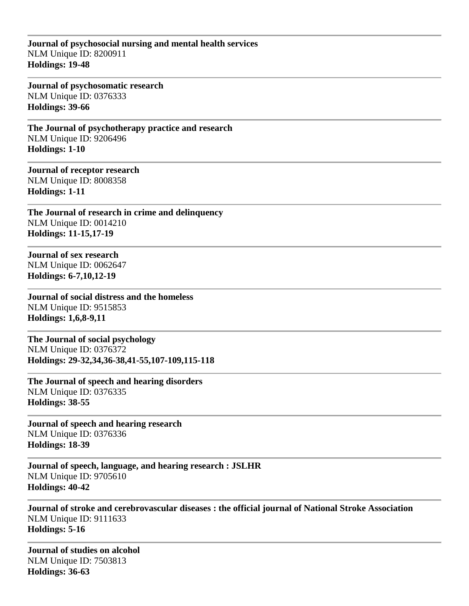### **Journal of psychosocial nursing and mental health services** NLM Unique ID: 8200911 **Holdings: 19-48**

**Journal of psychosomatic research** NLM Unique ID: 0376333 **Holdings: 39-66** 

**The Journal of psychotherapy practice and research** NLM Unique ID: 9206496 **Holdings: 1-10** 

**Journal of receptor research** NLM Unique ID: 8008358 **Holdings: 1-11** 

**The Journal of research in crime and delinquency** NLM Unique ID: 0014210 **Holdings: 11-15,17-19** 

**Journal of sex research** NLM Unique ID: 0062647 **Holdings: 6-7,10,12-19** 

**Journal of social distress and the homeless** NLM Unique ID: 9515853 **Holdings: 1,6,8-9,11** 

**The Journal of social psychology** NLM Unique ID: 0376372 **Holdings: 29-32,34,36-38,41-55,107-109,115-118** 

**The Journal of speech and hearing disorders** NLM Unique ID: 0376335 **Holdings: 38-55** 

**Journal of speech and hearing research** NLM Unique ID: 0376336 **Holdings: 18-39** 

**Journal of speech, language, and hearing research : JSLHR** NLM Unique ID: 9705610 **Holdings: 40-42** 

**Journal of stroke and cerebrovascular diseases : the official journal of National Stroke Association** NLM Unique ID: 9111633 **Holdings: 5-16** 

**Journal of studies on alcohol** NLM Unique ID: 7503813 **Holdings: 36-63**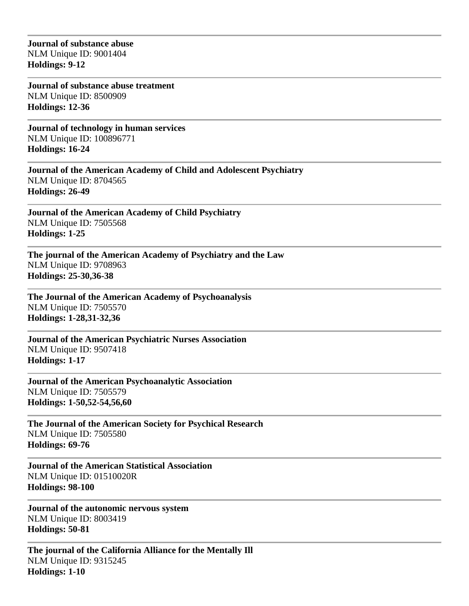**Journal of substance abuse** NLM Unique ID: 9001404 **Holdings: 9-12** 

**Journal of substance abuse treatment** NLM Unique ID: 8500909 **Holdings: 12-36** 

**Journal of technology in human services** NLM Unique ID: 100896771 **Holdings: 16-24** 

**Journal of the American Academy of Child and Adolescent Psychiatry** NLM Unique ID: 8704565 **Holdings: 26-49** 

**Journal of the American Academy of Child Psychiatry** NLM Unique ID: 7505568 **Holdings: 1-25** 

**The journal of the American Academy of Psychiatry and the Law** NLM Unique ID: 9708963 **Holdings: 25-30,36-38** 

**The Journal of the American Academy of Psychoanalysis** NLM Unique ID: 7505570 **Holdings: 1-28,31-32,36** 

**Journal of the American Psychiatric Nurses Association** NLM Unique ID: 9507418 **Holdings: 1-17** 

**Journal of the American Psychoanalytic Association** NLM Unique ID: 7505579 **Holdings: 1-50,52-54,56,60** 

**The Journal of the American Society for Psychical Research** NLM Unique ID: 7505580 **Holdings: 69-76** 

**Journal of the American Statistical Association** NLM Unique ID: 01510020R **Holdings: 98-100** 

**Journal of the autonomic nervous system** NLM Unique ID: 8003419 **Holdings: 50-81** 

**The journal of the California Alliance for the Mentally Ill** NLM Unique ID: 9315245 **Holdings: 1-10**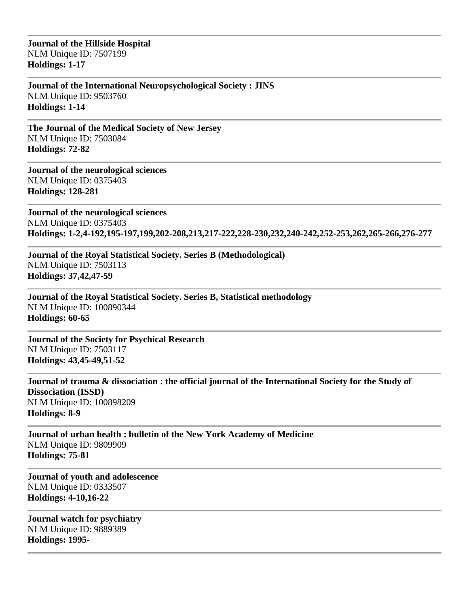**Journal of the Hillside Hospital** NLM Unique ID: 7507199 **Holdings: 1-17** 

**Journal of the International Neuropsychological Society : JINS** NLM Unique ID: 9503760 **Holdings: 1-14** 

**The Journal of the Medical Society of New Jersey** NLM Unique ID: 7503084 **Holdings: 72-82** 

**Journal of the neurological sciences** NLM Unique ID: 0375403 **Holdings: 128-281** 

**Journal of the neurological sciences** NLM Unique ID: 0375403 **Holdings: 1-2,4-192,195-197,199,202-208,213,217-222,228-230,232,240-242,252-253,262,265-266,276-277** 

**Journal of the Royal Statistical Society. Series B (Methodological)** NLM Unique ID: 7503113 **Holdings: 37,42,47-59** 

**Journal of the Royal Statistical Society. Series B, Statistical methodology** NLM Unique ID: 100890344 **Holdings: 60-65** 

**Journal of the Society for Psychical Research** NLM Unique ID: 7503117 **Holdings: 43,45-49,51-52** 

**Journal of trauma & dissociation : the official journal of the International Society for the Study of Dissociation (ISSD)** NLM Unique ID: 100898209 **Holdings: 8-9** 

**Journal of urban health : bulletin of the New York Academy of Medicine** NLM Unique ID: 9809909 **Holdings: 75-81** 

**Journal of youth and adolescence** NLM Unique ID: 0333507 **Holdings: 4-10,16-22** 

**Journal watch for psychiatry** NLM Unique ID: 9889389 **Holdings: 1995-**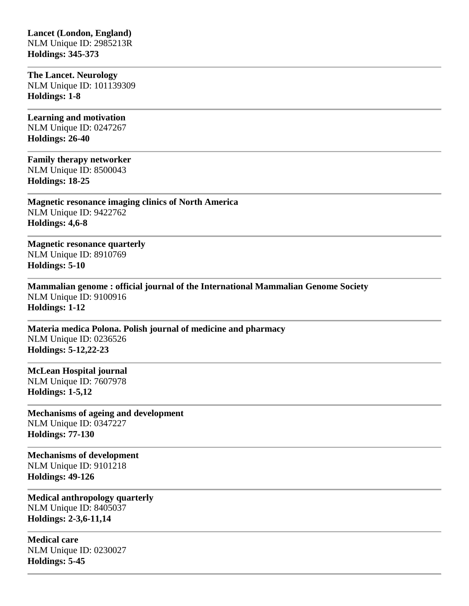### **Lancet (London, England)** NLM Unique ID: 2985213R **Holdings: 345-373**

**The Lancet. Neurology** NLM Unique ID: 101139309 **Holdings: 1-8** 

**Learning and motivation** NLM Unique ID: 0247267 **Holdings: 26-40** 

**Family therapy networker** NLM Unique ID: 8500043 **Holdings: 18-25** 

**Magnetic resonance imaging clinics of North America** NLM Unique ID: 9422762 **Holdings: 4,6-8** 

**Magnetic resonance quarterly** NLM Unique ID: 8910769 **Holdings: 5-10** 

**Mammalian genome : official journal of the International Mammalian Genome Society** NLM Unique ID: 9100916 **Holdings: 1-12** 

**Materia medica Polona. Polish journal of medicine and pharmacy** NLM Unique ID: 0236526 **Holdings: 5-12,22-23** 

**McLean Hospital journal** NLM Unique ID: 7607978 **Holdings: 1-5,12** 

**Mechanisms of ageing and development** NLM Unique ID: 0347227 **Holdings: 77-130** 

**Mechanisms of development** NLM Unique ID: 9101218 **Holdings: 49-126** 

**Medical anthropology quarterly** NLM Unique ID: 8405037 **Holdings: 2-3,6-11,14** 

**Medical care** NLM Unique ID: 0230027 **Holdings: 5-45**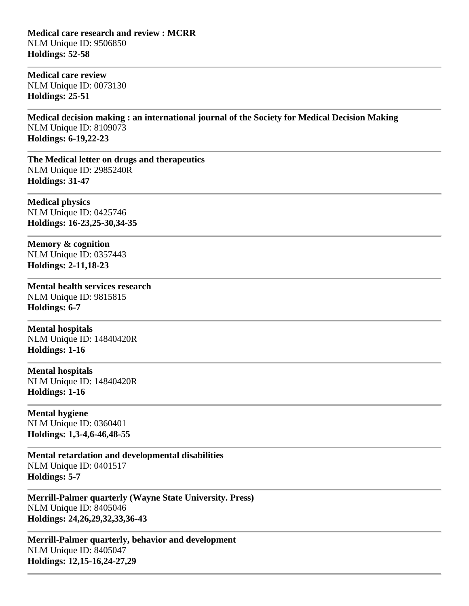**Medical care research and review : MCRR** NLM Unique ID: 9506850 **Holdings: 52-58** 

**Medical care review** NLM Unique ID: 0073130 **Holdings: 25-51** 

**Medical decision making : an international journal of the Society for Medical Decision Making** NLM Unique ID: 8109073 **Holdings: 6-19,22-23** 

**The Medical letter on drugs and therapeutics** NLM Unique ID: 2985240R **Holdings: 31-47** 

**Medical physics** NLM Unique ID: 0425746 **Holdings: 16-23,25-30,34-35** 

**Memory & cognition** NLM Unique ID: 0357443 **Holdings: 2-11,18-23** 

**Mental health services research** NLM Unique ID: 9815815 **Holdings: 6-7** 

**Mental hospitals** NLM Unique ID: 14840420R **Holdings: 1-16** 

**Mental hospitals** NLM Unique ID: 14840420R **Holdings: 1-16** 

**Mental hygiene** NLM Unique ID: 0360401 **Holdings: 1,3-4,6-46,48-55** 

**Mental retardation and developmental disabilities** NLM Unique ID: 0401517 **Holdings: 5-7** 

**Merrill-Palmer quarterly (Wayne State University. Press)** NLM Unique ID: 8405046 **Holdings: 24,26,29,32,33,36-43** 

**Merrill-Palmer quarterly, behavior and development** NLM Unique ID: 8405047 **Holdings: 12,15-16,24-27,29**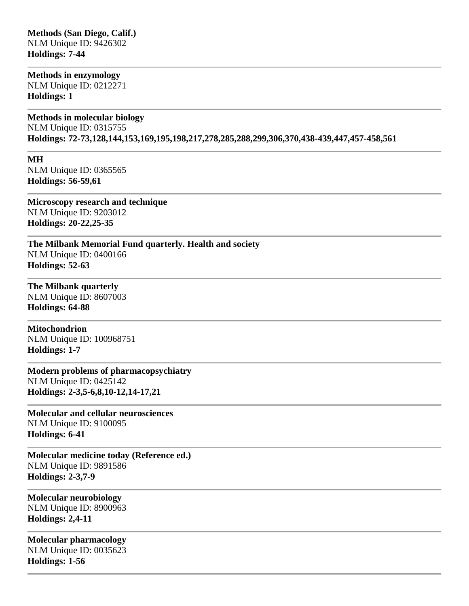### **Methods (San Diego, Calif.)** NLM Unique ID: 9426302 **Holdings: 7-44**

**Methods in enzymology**

NLM Unique ID: 0212271 **Holdings: 1** 

### **Methods in molecular biology**

NLM Unique ID: 0315755 **Holdings: 72-73,128,144,153,169,195,198,217,278,285,288,299,306,370,438-439,447,457-458,561** 

**MH**

NLM Unique ID: 0365565 **Holdings: 56-59,61** 

**Microscopy research and technique** NLM Unique ID: 9203012 **Holdings: 20-22,25-35** 

**The Milbank Memorial Fund quarterly. Health and society** NLM Unique ID: 0400166 **Holdings: 52-63** 

**The Milbank quarterly** NLM Unique ID: 8607003 **Holdings: 64-88** 

**Mitochondrion** NLM Unique ID: 100968751 **Holdings: 1-7** 

**Modern problems of pharmacopsychiatry** NLM Unique ID: 0425142 **Holdings: 2-3,5-6,8,10-12,14-17,21** 

**Molecular and cellular neurosciences** NLM Unique ID: 9100095 **Holdings: 6-41** 

**Molecular medicine today (Reference ed.)** NLM Unique ID: 9891586 **Holdings: 2-3,7-9** 

**Molecular neurobiology** NLM Unique ID: 8900963 **Holdings: 2,4-11** 

**Molecular pharmacology** NLM Unique ID: 0035623 **Holdings: 1-56**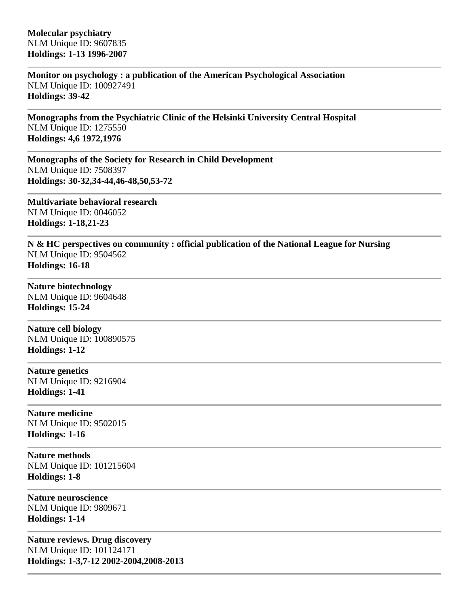**Monitor on psychology : a publication of the American Psychological Association** NLM Unique ID: 100927491 **Holdings: 39-42** 

**Monographs from the Psychiatric Clinic of the Helsinki University Central Hospital** NLM Unique ID: 1275550 **Holdings: 4,6 1972,1976**

**Monographs of the Society for Research in Child Development** NLM Unique ID: 7508397 **Holdings: 30-32,34-44,46-48,50,53-72** 

**Multivariate behavioral research** NLM Unique ID: 0046052 **Holdings: 1-18,21-23** 

**N & HC perspectives on community : official publication of the National League for Nursing** NLM Unique ID: 9504562 **Holdings: 16-18** 

**Nature biotechnology** NLM Unique ID: 9604648

**Holdings: 15-24** 

**Nature cell biology** NLM Unique ID: 100890575 **Holdings: 1-12** 

**Nature genetics** NLM Unique ID: 9216904 **Holdings: 1-41** 

**Nature medicine** NLM Unique ID: 9502015 **Holdings: 1-16** 

**Nature methods** NLM Unique ID: 101215604 **Holdings: 1-8** 

**Nature neuroscience** NLM Unique ID: 9809671 **Holdings: 1-14** 

**Nature reviews. Drug discovery** NLM Unique ID: 101124171 **Holdings: 1-3,7-12 2002-2004,2008-2013**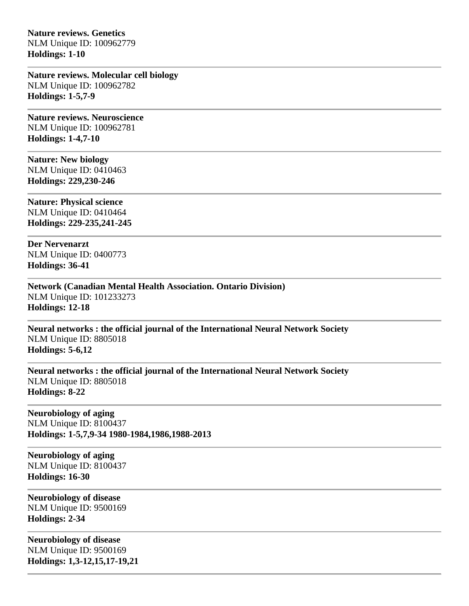**Nature reviews. Genetics** NLM Unique ID: 100962779 **Holdings: 1-10** 

**Nature reviews. Molecular cell biology** NLM Unique ID: 100962782 **Holdings: 1-5,7-9** 

**Nature reviews. Neuroscience** NLM Unique ID: 100962781 **Holdings: 1-4,7-10** 

**Nature: New biology** NLM Unique ID: 0410463 **Holdings: 229,230-246** 

**Nature: Physical science** NLM Unique ID: 0410464 **Holdings: 229-235,241-245** 

**Der Nervenarzt** NLM Unique ID: 0400773 **Holdings: 36-41** 

**Network (Canadian Mental Health Association. Ontario Division)** NLM Unique ID: 101233273 **Holdings: 12-18** 

**Neural networks : the official journal of the International Neural Network Society** NLM Unique ID: 8805018 **Holdings: 5-6,12** 

**Neural networks : the official journal of the International Neural Network Society** NLM Unique ID: 8805018 **Holdings: 8-22** 

**Neurobiology of aging** NLM Unique ID: 8100437 **Holdings: 1-5,7,9-34 1980-1984,1986,1988-2013**

**Neurobiology of aging** NLM Unique ID: 8100437 **Holdings: 16-30** 

**Neurobiology of disease** NLM Unique ID: 9500169 **Holdings: 2-34** 

**Neurobiology of disease** NLM Unique ID: 9500169 **Holdings: 1,3-12,15,17-19,21**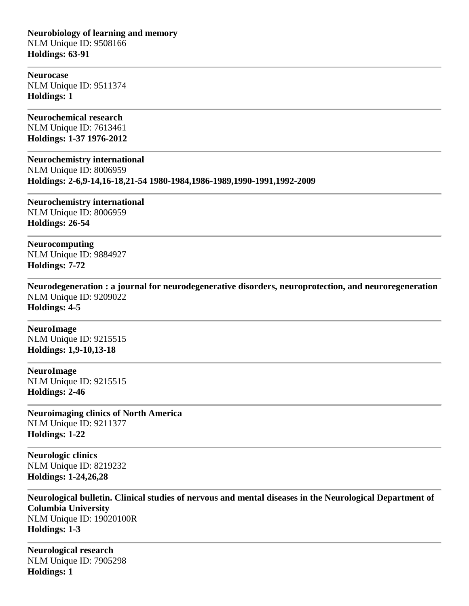**Neurobiology of learning and memory** NLM Unique ID: 9508166 **Holdings: 63-91** 

**Neurocase** NLM Unique ID: 9511374 **Holdings: 1** 

**Neurochemical research** NLM Unique ID: 7613461 **Holdings: 1-37 1976-2012**

**Neurochemistry international**

NLM Unique ID: 8006959 **Holdings: 2-6,9-14,16-18,21-54 1980-1984,1986-1989,1990-1991,1992-2009**

**Neurochemistry international** NLM Unique ID: 8006959 **Holdings: 26-54** 

**Neurocomputing** NLM Unique ID: 9884927 **Holdings: 7-72** 

**Neurodegeneration : a journal for neurodegenerative disorders, neuroprotection, and neuroregeneration** NLM Unique ID: 9209022 **Holdings: 4-5** 

**NeuroImage** NLM Unique ID: 9215515 **Holdings: 1,9-10,13-18** 

**NeuroImage** NLM Unique ID: 9215515 **Holdings: 2-46** 

**Neuroimaging clinics of North America** NLM Unique ID: 9211377 **Holdings: 1-22** 

**Neurologic clinics** NLM Unique ID: 8219232 **Holdings: 1-24,26,28** 

**Neurological bulletin. Clinical studies of nervous and mental diseases in the Neurological Department of Columbia University** NLM Unique ID: 19020100R **Holdings: 1-3** 

**Neurological research** NLM Unique ID: 7905298 **Holdings: 1**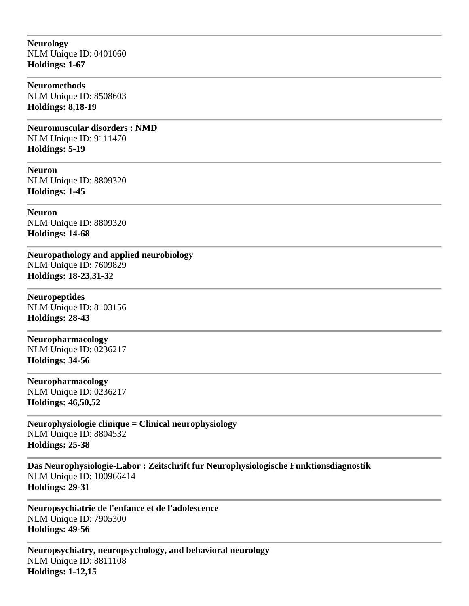**Neurology** NLM Unique ID: 0401060 **Holdings: 1-67** 

## **Neuromethods**

NLM Unique ID: 8508603 **Holdings: 8,18-19** 

**Neuromuscular disorders : NMD** NLM Unique ID: 9111470 **Holdings: 5-19** 

**Neuron** NLM Unique ID: 8809320 **Holdings: 1-45** 

**Neuron** NLM Unique ID: 8809320 **Holdings: 14-68** 

**Neuropathology and applied neurobiology** NLM Unique ID: 7609829 **Holdings: 18-23,31-32** 

**Neuropeptides** NLM Unique ID: 8103156 **Holdings: 28-43** 

**Neuropharmacology** NLM Unique ID: 0236217 **Holdings: 34-56** 

**Neuropharmacology** NLM Unique ID: 0236217 **Holdings: 46,50,52** 

**Neurophysiologie clinique = Clinical neurophysiology** NLM Unique ID: 8804532 **Holdings: 25-38** 

**Das Neurophysiologie-Labor : Zeitschrift fur Neurophysiologische Funktionsdiagnostik** NLM Unique ID: 100966414 **Holdings: 29-31** 

**Neuropsychiatrie de l'enfance et de l'adolescence** NLM Unique ID: 7905300 **Holdings: 49-56** 

**Neuropsychiatry, neuropsychology, and behavioral neurology** NLM Unique ID: 8811108 **Holdings: 1-12,15**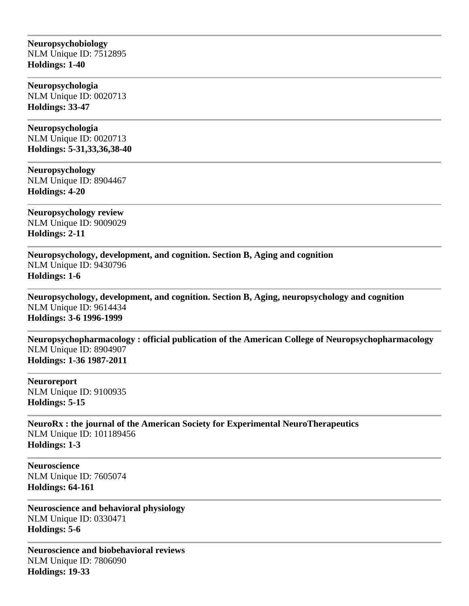### **Neuropsychobiology** NLM Unique ID: 7512895 **Holdings: 1-40**

**Neuropsychologia** NLM Unique ID: 0020713 **Holdings: 33-47** 

**Neuropsychologia** NLM Unique ID: 0020713 **Holdings: 5-31,33,36,38-40** 

**Neuropsychology** NLM Unique ID: 8904467 **Holdings: 4-20** 

**Neuropsychology review** NLM Unique ID: 9009029 **Holdings: 2-11** 

**Neuropsychology, development, and cognition. Section B, Aging and cognition** NLM Unique ID: 9430796 **Holdings: 1-6** 

**Neuropsychology, development, and cognition. Section B, Aging, neuropsychology and cognition** NLM Unique ID: 9614434 **Holdings: 3-6 1996-1999**

**Neuropsychopharmacology : official publication of the American College of Neuropsychopharmacology** NLM Unique ID: 8904907 **Holdings: 1-36 1987-2011**

**Neuroreport** NLM Unique ID: 9100935 **Holdings: 5-15** 

**NeuroRx : the journal of the American Society for Experimental NeuroTherapeutics** NLM Unique ID: 101189456 **Holdings: 1-3** 

**Neuroscience** NLM Unique ID: 7605074 **Holdings: 64-161** 

**Neuroscience and behavioral physiology** NLM Unique ID: 0330471 **Holdings: 5-6** 

**Neuroscience and biobehavioral reviews** NLM Unique ID: 7806090 **Holdings: 19-33**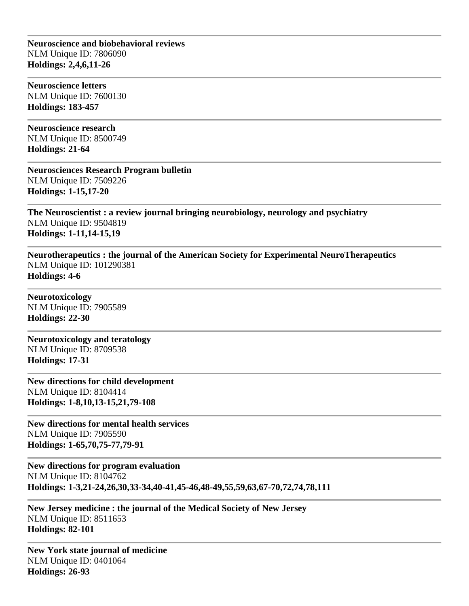**Neuroscience and biobehavioral reviews** NLM Unique ID: 7806090 **Holdings: 2,4,6,11-26** 

**Neuroscience letters** NLM Unique ID: 7600130 **Holdings: 183-457** 

**Neuroscience research** NLM Unique ID: 8500749 **Holdings: 21-64** 

**Neurosciences Research Program bulletin** NLM Unique ID: 7509226 **Holdings: 1-15,17-20** 

**The Neuroscientist : a review journal bringing neurobiology, neurology and psychiatry** NLM Unique ID: 9504819 **Holdings: 1-11,14-15,19** 

**Neurotherapeutics : the journal of the American Society for Experimental NeuroTherapeutics** NLM Unique ID: 101290381 **Holdings: 4-6** 

**Neurotoxicology** NLM Unique ID: 7905589 **Holdings: 22-30** 

**Neurotoxicology and teratology** NLM Unique ID: 8709538 **Holdings: 17-31** 

**New directions for child development** NLM Unique ID: 8104414 **Holdings: 1-8,10,13-15,21,79-108** 

**New directions for mental health services** NLM Unique ID: 7905590 **Holdings: 1-65,70,75-77,79-91** 

**New directions for program evaluation** NLM Unique ID: 8104762 **Holdings: 1-3,21-24,26,30,33-34,40-41,45-46,48-49,55,59,63,67-70,72,74,78,111** 

**New Jersey medicine : the journal of the Medical Society of New Jersey** NLM Unique ID: 8511653 **Holdings: 82-101** 

**New York state journal of medicine** NLM Unique ID: 0401064 **Holdings: 26-93**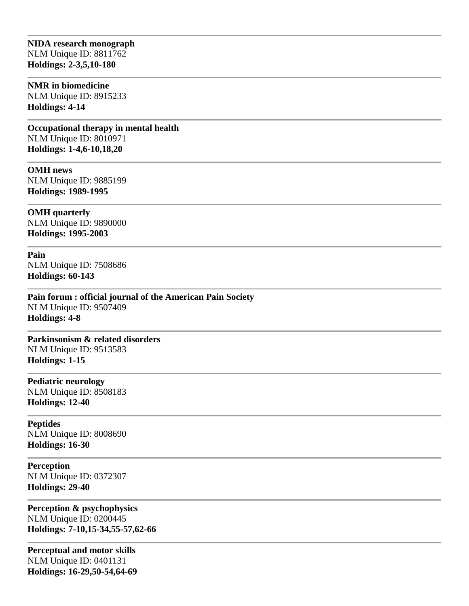## **NIDA research monograph** NLM Unique ID: 8811762 **Holdings: 2-3,5,10-180**

#### **NMR in biomedicine**

NLM Unique ID: 8915233 **Holdings: 4-14** 

**Occupational therapy in mental health** NLM Unique ID: 8010971 **Holdings: 1-4,6-10,18,20** 

**OMH news** NLM Unique ID: 9885199 **Holdings: 1989-1995**

**OMH quarterly** NLM Unique ID: 9890000 **Holdings: 1995-2003**

**Pain** NLM Unique ID: 7508686 **Holdings: 60-143** 

**Pain forum : official journal of the American Pain Society** NLM Unique ID: 9507409 **Holdings: 4-8** 

**Parkinsonism & related disorders** NLM Unique ID: 9513583 **Holdings: 1-15** 

**Pediatric neurology** NLM Unique ID: 8508183 **Holdings: 12-40** 

**Peptides** NLM Unique ID: 8008690 **Holdings: 16-30** 

**Perception** NLM Unique ID: 0372307 **Holdings: 29-40** 

**Perception & psychophysics** NLM Unique ID: 0200445 **Holdings: 7-10,15-34,55-57,62-66** 

**Perceptual and motor skills** NLM Unique ID: 0401131 **Holdings: 16-29,50-54,64-69**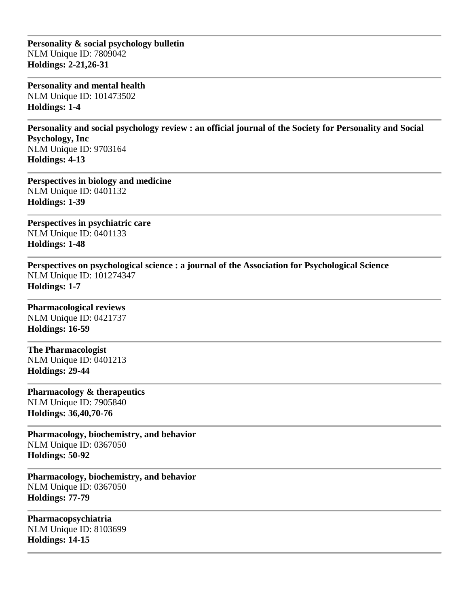**Personality & social psychology bulletin** NLM Unique ID: 7809042 **Holdings: 2-21,26-31** 

**Personality and mental health** NLM Unique ID: 101473502 **Holdings: 1-4** 

**Personality and social psychology review : an official journal of the Society for Personality and Social Psychology, Inc** NLM Unique ID: 9703164 **Holdings: 4-13** 

**Perspectives in biology and medicine** NLM Unique ID: 0401132 **Holdings: 1-39** 

**Perspectives in psychiatric care** NLM Unique ID: 0401133 **Holdings: 1-48** 

**Perspectives on psychological science : a journal of the Association for Psychological Science** NLM Unique ID: 101274347 **Holdings: 1-7** 

**Pharmacological reviews** NLM Unique ID: 0421737 **Holdings: 16-59** 

**The Pharmacologist** NLM Unique ID: 0401213 **Holdings: 29-44** 

**Pharmacology & therapeutics** NLM Unique ID: 7905840 **Holdings: 36,40,70-76** 

**Pharmacology, biochemistry, and behavior** NLM Unique ID: 0367050 **Holdings: 50-92** 

**Pharmacology, biochemistry, and behavior** NLM Unique ID: 0367050 **Holdings: 77-79** 

**Pharmacopsychiatria** NLM Unique ID: 8103699 **Holdings: 14-15**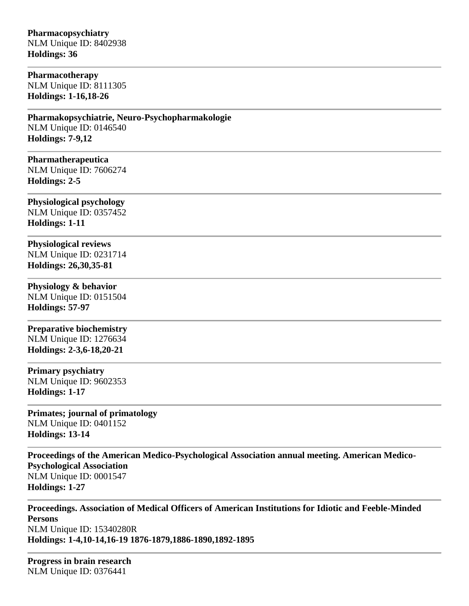# **Pharmacopsychiatry**

NLM Unique ID: 8402938 **Holdings: 36** 

# **Pharmacotherapy**

NLM Unique ID: 8111305 **Holdings: 1-16,18-26** 

### **Pharmakopsychiatrie, Neuro-Psychopharmakologie** NLM Unique ID: 0146540 **Holdings: 7-9,12**

**Pharmatherapeutica** NLM Unique ID: 7606274

**Holdings: 2-5 Physiological psychology**

NLM Unique ID: 0357452 **Holdings: 1-11** 

**Physiological reviews** NLM Unique ID: 0231714 **Holdings: 26,30,35-81** 

# **Physiology & behavior**

NLM Unique ID: 0151504 **Holdings: 57-97** 

# **Preparative biochemistry** NLM Unique ID: 1276634

**Holdings: 2-3,6-18,20-21** 

### **Primary psychiatry** NLM Unique ID: 9602353 **Holdings: 1-17**

**Primates; journal of primatology** NLM Unique ID: 0401152 **Holdings: 13-14** 

**Proceedings of the American Medico-Psychological Association annual meeting. American Medico-Psychological Association** NLM Unique ID: 0001547 **Holdings: 1-27** 

**Proceedings. Association of Medical Officers of American Institutions for Idiotic and Feeble-Minded Persons** NLM Unique ID: 15340280R **Holdings: 1-4,10-14,16-19 1876-1879,1886-1890,1892-1895**

**Progress in brain research** NLM Unique ID: 0376441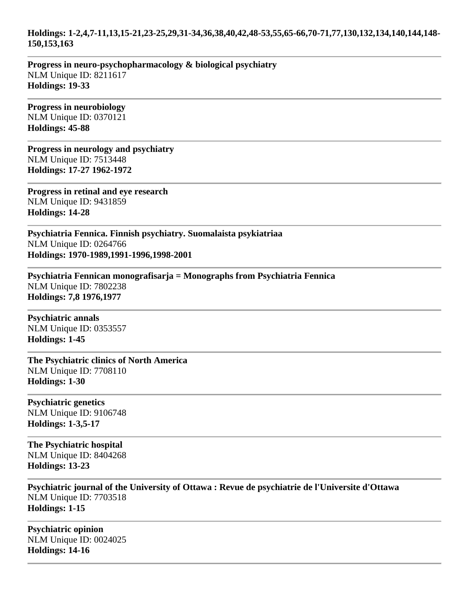### **Holdings: 1-2,4,7-11,13,15-21,23-25,29,31-34,36,38,40,42,48-53,55,65-66,70-71,77,130,132,134,140,144,148- 150,153,163**

**Progress in neuro-psychopharmacology & biological psychiatry** NLM Unique ID: 8211617 **Holdings: 19-33** 

**Progress in neurobiology** NLM Unique ID: 0370121 **Holdings: 45-88** 

**Progress in neurology and psychiatry** NLM Unique ID: 7513448 **Holdings: 17-27 1962-1972**

**Progress in retinal and eye research** NLM Unique ID: 9431859 **Holdings: 14-28** 

**Psychiatria Fennica. Finnish psychiatry. Suomalaista psykiatriaa** NLM Unique ID: 0264766 **Holdings: 1970-1989,1991-1996,1998-2001**

**Psychiatria Fennican monografisarja = Monographs from Psychiatria Fennica** NLM Unique ID: 7802238 **Holdings: 7,8 1976,1977**

**Psychiatric annals** NLM Unique ID: 0353557 **Holdings: 1-45** 

**The Psychiatric clinics of North America** NLM Unique ID: 7708110 **Holdings: 1-30** 

**Psychiatric genetics** NLM Unique ID: 9106748 **Holdings: 1-3,5-17** 

**The Psychiatric hospital** NLM Unique ID: 8404268 **Holdings: 13-23** 

**Psychiatric journal of the University of Ottawa : Revue de psychiatrie de l'Universite d'Ottawa** NLM Unique ID: 7703518 **Holdings: 1-15** 

**Psychiatric opinion** NLM Unique ID: 0024025 **Holdings: 14-16**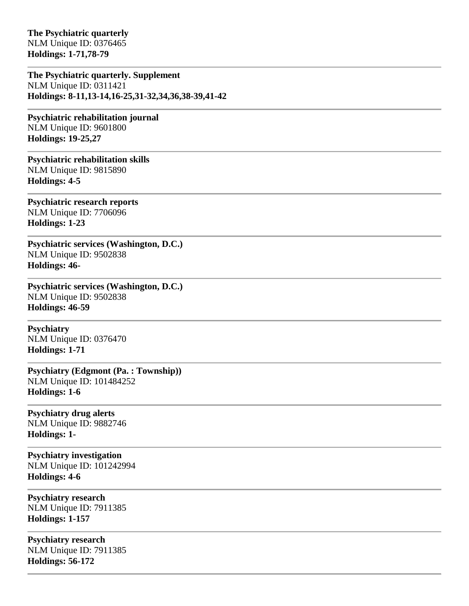**The Psychiatric quarterly** NLM Unique ID: 0376465 **Holdings: 1-71,78-79** 

**The Psychiatric quarterly. Supplement** NLM Unique ID: 0311421 **Holdings: 8-11,13-14,16-25,31-32,34,36,38-39,41-42** 

**Psychiatric rehabilitation journal** NLM Unique ID: 9601800 **Holdings: 19-25,27** 

**Psychiatric rehabilitation skills** NLM Unique ID: 9815890 **Holdings: 4-5** 

**Psychiatric research reports** NLM Unique ID: 7706096 **Holdings: 1-23** 

**Psychiatric services (Washington, D.C.)** NLM Unique ID: 9502838 **Holdings: 46-**

**Psychiatric services (Washington, D.C.)** NLM Unique ID: 9502838 **Holdings: 46-59** 

**Psychiatry** NLM Unique ID: 0376470 **Holdings: 1-71** 

**Psychiatry (Edgmont (Pa. : Township))** NLM Unique ID: 101484252 **Holdings: 1-6** 

**Psychiatry drug alerts** NLM Unique ID: 9882746 **Holdings: 1-**

**Psychiatry investigation** NLM Unique ID: 101242994 **Holdings: 4-6** 

**Psychiatry research** NLM Unique ID: 7911385 **Holdings: 1-157** 

**Psychiatry research** NLM Unique ID: 7911385 **Holdings: 56-172**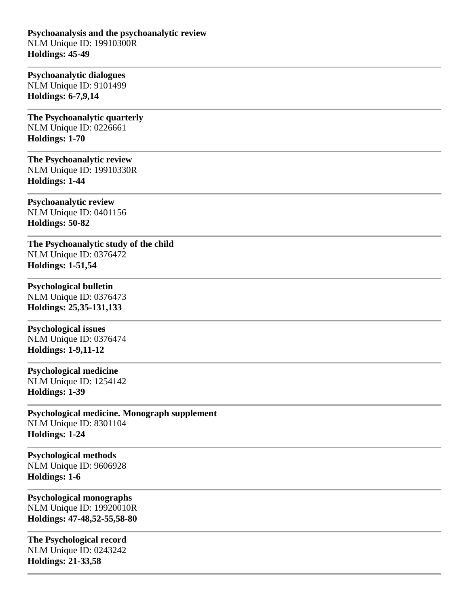**Psychoanalysis and the psychoanalytic review** NLM Unique ID: 19910300R **Holdings: 45-49** 

#### **Psychoanalytic dialogues** NLM Unique ID: 9101499

**Holdings: 6-7,9,14** 

**The Psychoanalytic quarterly** NLM Unique ID: 0226661 **Holdings: 1-70** 

# **The Psychoanalytic review** NLM Unique ID: 19910330R

**Holdings: 1-44** 

**Psychoanalytic review** NLM Unique ID: 0401156 **Holdings: 50-82** 

**The Psychoanalytic study of the child** NLM Unique ID: 0376472 **Holdings: 1-51,54** 

# **Psychological bulletin**

NLM Unique ID: 0376473 **Holdings: 25,35-131,133** 

### **Psychological issues** NLM Unique ID: 0376474

**Holdings: 1-9,11-12** 

### **Psychological medicine**

NLM Unique ID: 1254142 **Holdings: 1-39** 

### **Psychological medicine. Monograph supplement** NLM Unique ID: 8301104 **Holdings: 1-24**

**Psychological methods** NLM Unique ID: 9606928 **Holdings: 1-6** 

### **Psychological monographs** NLM Unique ID: 19920010R **Holdings: 47-48,52-55,58-80**

**The Psychological record** NLM Unique ID: 0243242 **Holdings: 21-33,58**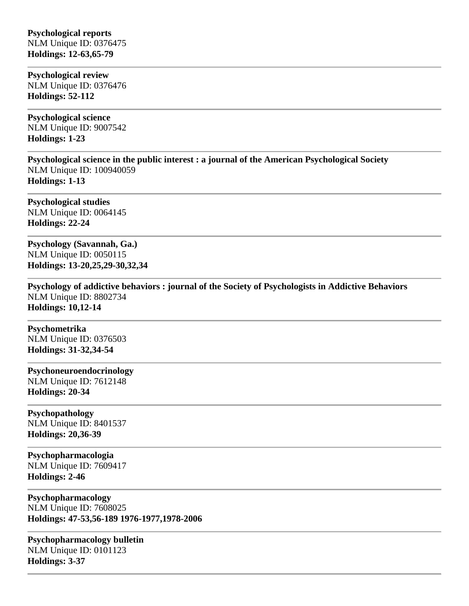## **Psychological reports** NLM Unique ID: 0376475 **Holdings: 12-63,65-79**

**Psychological review** NLM Unique ID: 0376476 **Holdings: 52-112** 

**Psychological science** NLM Unique ID: 9007542 **Holdings: 1-23** 

**Psychological science in the public interest : a journal of the American Psychological Society** NLM Unique ID: 100940059 **Holdings: 1-13** 

**Psychological studies** NLM Unique ID: 0064145 **Holdings: 22-24** 

**Psychology (Savannah, Ga.)** NLM Unique ID: 0050115 **Holdings: 13-20,25,29-30,32,34** 

**Psychology of addictive behaviors : journal of the Society of Psychologists in Addictive Behaviors** NLM Unique ID: 8802734 **Holdings: 10,12-14** 

# **Psychometrika**

NLM Unique ID: 0376503 **Holdings: 31-32,34-54** 

# **Psychoneuroendocrinology**

NLM Unique ID: 7612148 **Holdings: 20-34** 

### **Psychopathology**

NLM Unique ID: 8401537 **Holdings: 20,36-39** 

**Psychopharmacologia** NLM Unique ID: 7609417 **Holdings: 2-46** 

**Psychopharmacology** NLM Unique ID: 7608025 **Holdings: 47-53,56-189 1976-1977,1978-2006**

**Psychopharmacology bulletin** NLM Unique ID: 0101123 **Holdings: 3-37**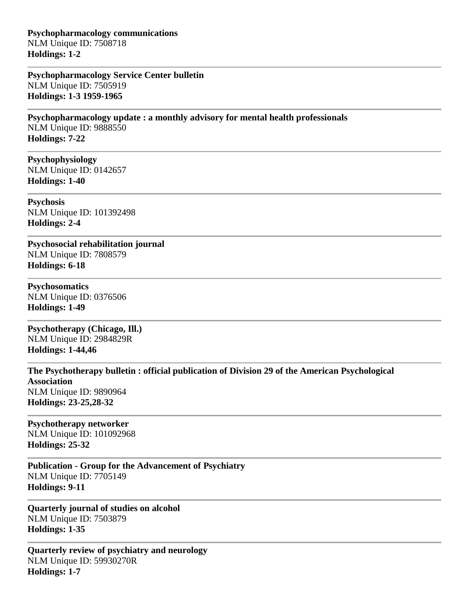**Psychopharmacology communications** NLM Unique ID: 7508718 **Holdings: 1-2** 

**Psychopharmacology Service Center bulletin** NLM Unique ID: 7505919 **Holdings: 1-3 1959-1965**

**Psychopharmacology update : a monthly advisory for mental health professionals** NLM Unique ID: 9888550 **Holdings: 7-22** 

**Psychophysiology** NLM Unique ID: 0142657 **Holdings: 1-40** 

**Psychosis** NLM Unique ID: 101392498 **Holdings: 2-4** 

**Psychosocial rehabilitation journal** NLM Unique ID: 7808579 **Holdings: 6-18** 

**Psychosomatics** NLM Unique ID: 0376506 **Holdings: 1-49** 

**Psychotherapy (Chicago, Ill.)** NLM Unique ID: 2984829R **Holdings: 1-44,46** 

**The Psychotherapy bulletin : official publication of Division 29 of the American Psychological Association** NLM Unique ID: 9890964 **Holdings: 23-25,28-32** 

#### **Psychotherapy networker** NLM Unique ID: 101092968

**Holdings: 25-32** 

**Publication - Group for the Advancement of Psychiatry** NLM Unique ID: 7705149 **Holdings: 9-11** 

**Quarterly journal of studies on alcohol** NLM Unique ID: 7503879 **Holdings: 1-35** 

**Quarterly review of psychiatry and neurology** NLM Unique ID: 59930270R **Holdings: 1-7**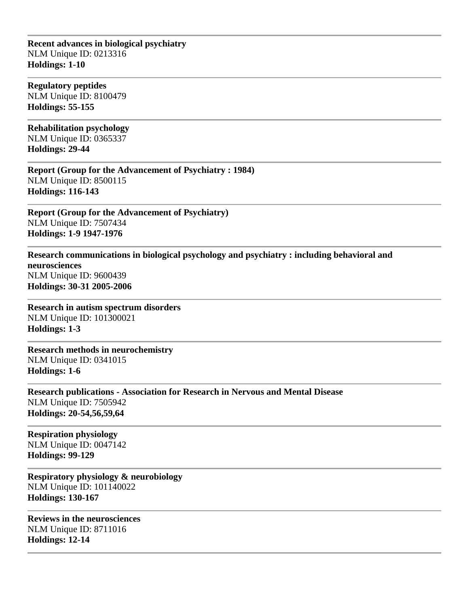**Recent advances in biological psychiatry** NLM Unique ID: 0213316 **Holdings: 1-10** 

**Regulatory peptides** NLM Unique ID: 8100479 **Holdings: 55-155** 

**Rehabilitation psychology** NLM Unique ID: 0365337 **Holdings: 29-44** 

**Report (Group for the Advancement of Psychiatry : 1984)** NLM Unique ID: 8500115 **Holdings: 116-143** 

**Report (Group for the Advancement of Psychiatry)** NLM Unique ID: 7507434 **Holdings: 1-9 1947-1976**

**Research communications in biological psychology and psychiatry : including behavioral and neurosciences** NLM Unique ID: 9600439 **Holdings: 30-31 2005-2006**

**Research in autism spectrum disorders** NLM Unique ID: 101300021 **Holdings: 1-3** 

**Research methods in neurochemistry** NLM Unique ID: 0341015 **Holdings: 1-6** 

**Research publications - Association for Research in Nervous and Mental Disease** NLM Unique ID: 7505942 **Holdings: 20-54,56,59,64** 

**Respiration physiology** NLM Unique ID: 0047142 **Holdings: 99-129** 

**Respiratory physiology & neurobiology** NLM Unique ID: 101140022 **Holdings: 130-167** 

**Reviews in the neurosciences** NLM Unique ID: 8711016 **Holdings: 12-14**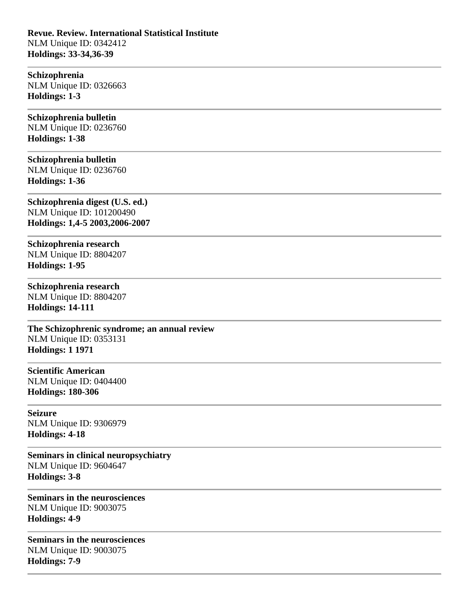**Revue. Review. International Statistical Institute** NLM Unique ID: 0342412 **Holdings: 33-34,36-39** 

**Schizophrenia** NLM Unique ID: 0326663 **Holdings: 1-3** 

## **Schizophrenia bulletin**

NLM Unique ID: 0236760 **Holdings: 1-38** 

#### **Schizophrenia bulletin**

NLM Unique ID: 0236760 **Holdings: 1-36** 

**Schizophrenia digest (U.S. ed.)** NLM Unique ID: 101200490 **Holdings: 1,4-5 2003,2006-2007**

**Schizophrenia research** NLM Unique ID: 8804207 **Holdings: 1-95** 

# **Schizophrenia research**

NLM Unique ID: 8804207 **Holdings: 14-111** 

**The Schizophrenic syndrome; an annual review** NLM Unique ID: 0353131 **Holdings: 1 1971**

**Scientific American** NLM Unique ID: 0404400 **Holdings: 180-306** 

**Seizure** NLM Unique ID: 9306979 **Holdings: 4-18** 

**Seminars in clinical neuropsychiatry** NLM Unique ID: 9604647 **Holdings: 3-8** 

**Seminars in the neurosciences** NLM Unique ID: 9003075 **Holdings: 4-9** 

**Seminars in the neurosciences** NLM Unique ID: 9003075 **Holdings: 7-9**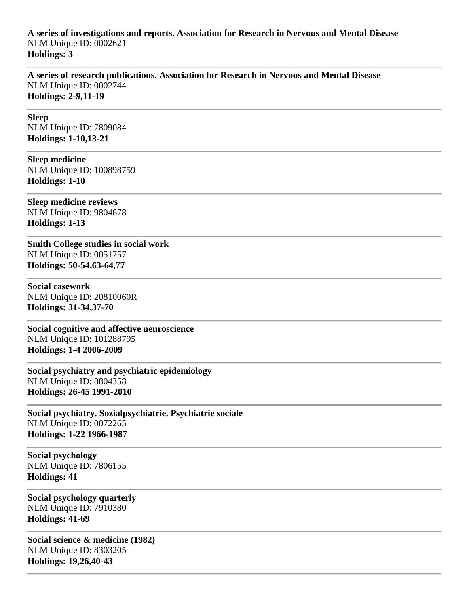# **A series of investigations and reports. Association for Research in Nervous and Mental Disease** NLM Unique ID: 0002621 **Holdings: 3**

**A series of research publications. Association for Research in Nervous and Mental Disease** NLM Unique ID: 0002744 **Holdings: 2-9,11-19** 

**Sleep** NLM Unique ID: 7809084 **Holdings: 1-10,13-21** 

**Sleep medicine** NLM Unique ID: 100898759 **Holdings: 1-10** 

**Sleep medicine reviews** NLM Unique ID: 9804678 **Holdings: 1-13** 

**Smith College studies in social work** NLM Unique ID: 0051757 **Holdings: 50-54,63-64,77** 

**Social casework** NLM Unique ID: 20810060R **Holdings: 31-34,37-70** 

**Social cognitive and affective neuroscience** NLM Unique ID: 101288795 **Holdings: 1-4 2006-2009**

**Social psychiatry and psychiatric epidemiology** NLM Unique ID: 8804358 **Holdings: 26-45 1991-2010**

**Social psychiatry. Sozialpsychiatrie. Psychiatrie sociale** NLM Unique ID: 0072265 **Holdings: 1-22 1966-1987**

**Social psychology** NLM Unique ID: 7806155 **Holdings: 41** 

**Social psychology quarterly** NLM Unique ID: 7910380 **Holdings: 41-69** 

**Social science & medicine (1982)** NLM Unique ID: 8303205 **Holdings: 19,26,40-43**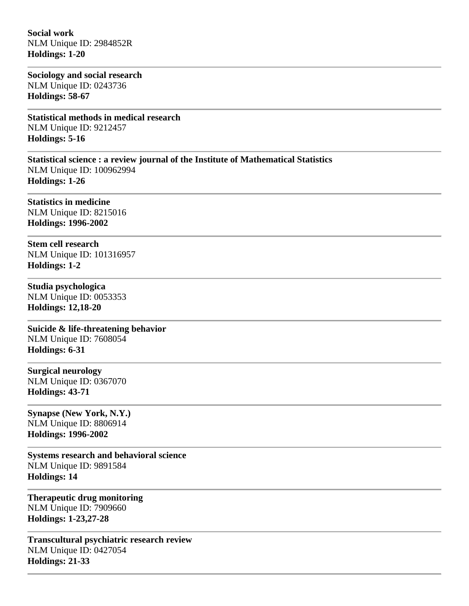**Social work** NLM Unique ID: 2984852R **Holdings: 1-20** 

**Sociology and social research** NLM Unique ID: 0243736 **Holdings: 58-67** 

**Statistical methods in medical research** NLM Unique ID: 9212457 **Holdings: 5-16** 

**Statistical science : a review journal of the Institute of Mathematical Statistics** NLM Unique ID: 100962994 **Holdings: 1-26** 

**Statistics in medicine** NLM Unique ID: 8215016 **Holdings: 1996-2002**

**Stem cell research** NLM Unique ID: 101316957 **Holdings: 1-2** 

**Studia psychologica** NLM Unique ID: 0053353 **Holdings: 12,18-20** 

**Suicide & life-threatening behavior** NLM Unique ID: 7608054 **Holdings: 6-31** 

**Surgical neurology** NLM Unique ID: 0367070 **Holdings: 43-71** 

**Synapse (New York, N.Y.)** NLM Unique ID: 8806914 **Holdings: 1996-2002**

**Systems research and behavioral science** NLM Unique ID: 9891584 **Holdings: 14** 

**Therapeutic drug monitoring** NLM Unique ID: 7909660 **Holdings: 1-23,27-28** 

**Transcultural psychiatric research review** NLM Unique ID: 0427054 **Holdings: 21-33**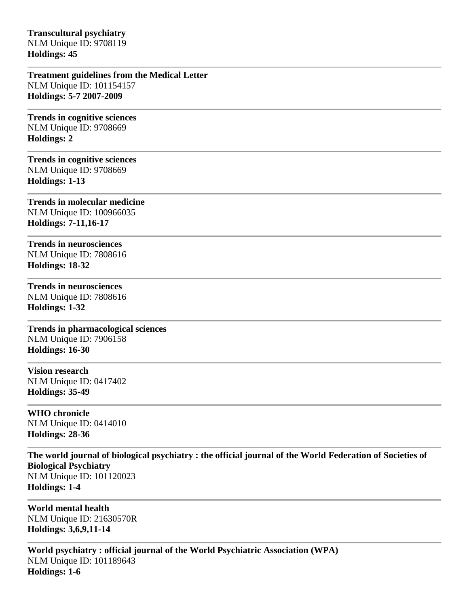**Transcultural psychiatry** NLM Unique ID: 9708119 **Holdings: 45** 

**Treatment guidelines from the Medical Letter** NLM Unique ID: 101154157 **Holdings: 5-7 2007-2009**

**Trends in cognitive sciences** NLM Unique ID: 9708669 **Holdings: 2** 

**Trends in cognitive sciences** NLM Unique ID: 9708669 **Holdings: 1-13** 

**Trends in molecular medicine** NLM Unique ID: 100966035 **Holdings: 7-11,16-17** 

**Trends in neurosciences** NLM Unique ID: 7808616 **Holdings: 18-32** 

**Trends in neurosciences** NLM Unique ID: 7808616

**Holdings: 1-32 Trends in pharmacological sciences** NLM Unique ID: 7906158

**Holdings: 16-30** 

**Vision research** NLM Unique ID: 0417402 **Holdings: 35-49** 

**WHO chronicle** NLM Unique ID: 0414010 **Holdings: 28-36** 

**The world journal of biological psychiatry : the official journal of the World Federation of Societies of Biological Psychiatry** NLM Unique ID: 101120023 **Holdings: 1-4** 

**World mental health** NLM Unique ID: 21630570R **Holdings: 3,6,9,11-14** 

**World psychiatry : official journal of the World Psychiatric Association (WPA)** NLM Unique ID: 101189643 **Holdings: 1-6**